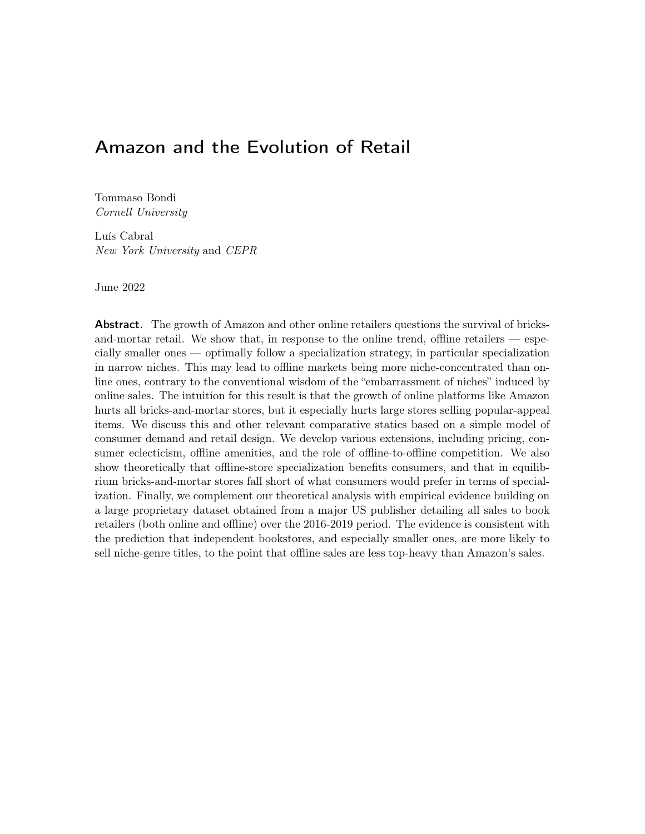# <span id="page-0-0"></span>Amazon and the Evolution of Retail

Tommaso Bondi Cornell University

Luís Cabral New York University and CEPR

June 2022

Abstract. The growth of Amazon and other online retailers questions the survival of bricksand-mortar retail. We show that, in response to the online trend, offline retailers  $-$  especially smaller ones — optimally follow a specialization strategy, in particular specialization in narrow niches. This may lead to offline markets being more niche-concentrated than online ones, contrary to the conventional wisdom of the "embarrassment of niches" induced by online sales. The intuition for this result is that the growth of online platforms like Amazon hurts all bricks-and-mortar stores, but it especially hurts large stores selling popular-appeal items. We discuss this and other relevant comparative statics based on a simple model of consumer demand and retail design. We develop various extensions, including pricing, consumer eclecticism, offline amenities, and the role of offline-to-offline competition. We also show theoretically that offline-store specialization benefits consumers, and that in equilibrium bricks-and-mortar stores fall short of what consumers would prefer in terms of specialization. Finally, we complement our theoretical analysis with empirical evidence building on a large proprietary dataset obtained from a major US publisher detailing all sales to book retailers (both online and offline) over the 2016-2019 period. The evidence is consistent with the prediction that independent bookstores, and especially smaller ones, are more likely to sell niche-genre titles, to the point that offline sales are less top-heavy than Amazon's sales.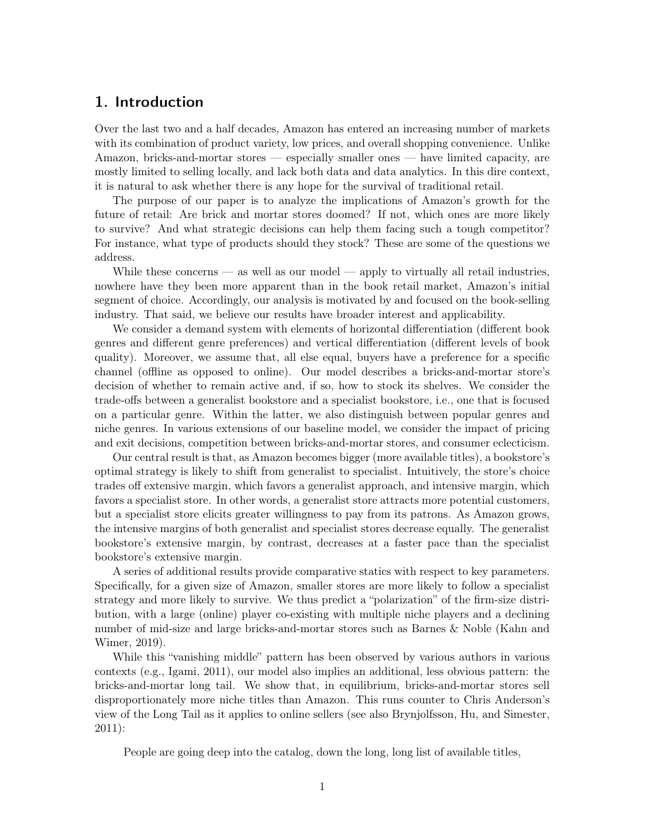### 1. Introduction

Over the last two and a half decades, Amazon has entered an increasing number of markets with its combination of product variety, low prices, and overall shopping convenience. Unlike Amazon, bricks-and-mortar stores — especially smaller ones — have limited capacity, are mostly limited to selling locally, and lack both data and data analytics. In this dire context, it is natural to ask whether there is any hope for the survival of traditional retail.

The purpose of our paper is to analyze the implications of Amazon's growth for the future of retail: Are brick and mortar stores doomed? If not, which ones are more likely to survive? And what strategic decisions can help them facing such a tough competitor? For instance, what type of products should they stock? These are some of the questions we address.

While these concerns  $\sim$  as well as our model  $\sim$  apply to virtually all retail industries, nowhere have they been more apparent than in the book retail market, Amazon's initial segment of choice. Accordingly, our analysis is motivated by and focused on the book-selling industry. That said, we believe our results have broader interest and applicability.

We consider a demand system with elements of horizontal differentiation (different book genres and different genre preferences) and vertical differentiation (different levels of book quality). Moreover, we assume that, all else equal, buyers have a preference for a specific channel (offline as opposed to online). Our model describes a bricks-and-mortar store's decision of whether to remain active and, if so, how to stock its shelves. We consider the trade-offs between a generalist bookstore and a specialist bookstore, i.e., one that is focused on a particular genre. Within the latter, we also distinguish between popular genres and niche genres. In various extensions of our baseline model, we consider the impact of pricing and exit decisions, competition between bricks-and-mortar stores, and consumer eclecticism.

Our central result is that, as Amazon becomes bigger (more available titles), a bookstore's optimal strategy is likely to shift from generalist to specialist. Intuitively, the store's choice trades off extensive margin, which favors a generalist approach, and intensive margin, which favors a specialist store. In other words, a generalist store attracts more potential customers, but a specialist store elicits greater willingness to pay from its patrons. As Amazon grows, the intensive margins of both generalist and specialist stores decrease equally. The generalist bookstore's extensive margin, by contrast, decreases at a faster pace than the specialist bookstore's extensive margin.

A series of additional results provide comparative statics with respect to key parameters. Specifically, for a given size of Amazon, smaller stores are more likely to follow a specialist strategy and more likely to survive. We thus predict a "polarization" of the firm-size distribution, with a large (online) player co-existing with multiple niche players and a declining number of mid-size and large bricks-and-mortar stores such as Barnes & Noble [\(Kahn and](#page-36-0) [Wimer, 2019\)](#page-36-0).

While this "vanishing middle" pattern has been observed by various authors in various contexts (e.g., [Igami, 2011\)](#page-36-1), our model also implies an additional, less obvious pattern: the bricks-and-mortar long tail. We show that, in equilibrium, bricks-and-mortar stores sell disproportionately more niche titles than Amazon. This runs counter to Chris Anderson's view of the Long Tail as it applies to online sellers (see also [Brynjolfsson, Hu, and Simester,](#page-36-2) [2011\)](#page-36-2):

People are going deep into the catalog, down the long, long list of available titles,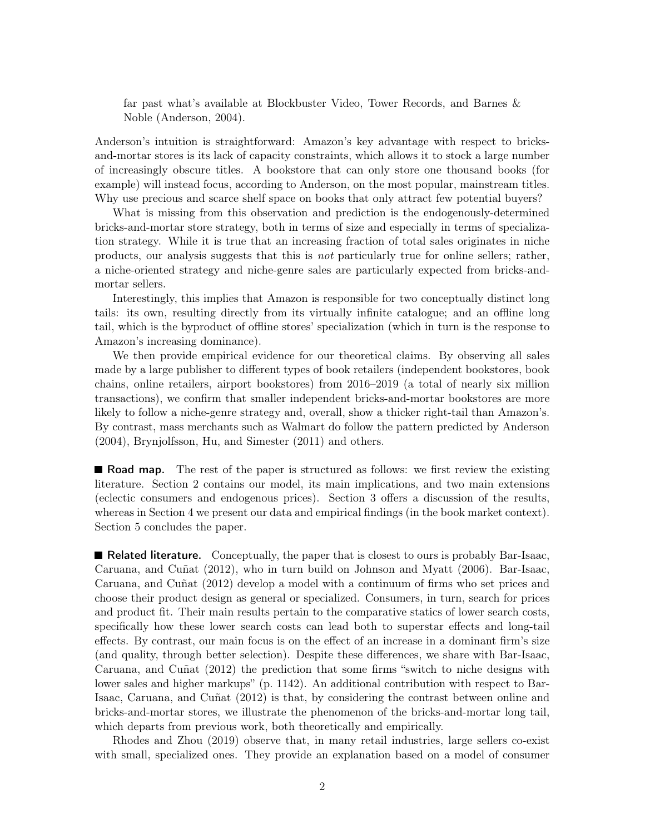far past what's available at Blockbuster Video, Tower Records, and Barnes & Noble [\(Anderson, 2004\)](#page-36-3).

Anderson's intuition is straightforward: Amazon's key advantage with respect to bricksand-mortar stores is its lack of capacity constraints, which allows it to stock a large number of increasingly obscure titles. A bookstore that can only store one thousand books (for example) will instead focus, according to Anderson, on the most popular, mainstream titles. Why use precious and scarce shelf space on books that only attract few potential buyers?

What is missing from this observation and prediction is the endogenously-determined bricks-and-mortar store strategy, both in terms of size and especially in terms of specialization strategy. While it is true that an increasing fraction of total sales originates in niche products, our analysis suggests that this is not particularly true for online sellers; rather, a niche-oriented strategy and niche-genre sales are particularly expected from bricks-andmortar sellers.

Interestingly, this implies that Amazon is responsible for two conceptually distinct long tails: its own, resulting directly from its virtually infinite catalogue; and an offline long tail, which is the byproduct of offline stores' specialization (which in turn is the response to Amazon's increasing dominance).

We then provide empirical evidence for our theoretical claims. By observing all sales made by a large publisher to different types of book retailers (independent bookstores, book chains, online retailers, airport bookstores) from 2016–2019 (a total of nearly six million transactions), we confirm that smaller independent bricks-and-mortar bookstores are more likely to follow a niche-genre strategy and, overall, show a thicker right-tail than Amazon's. By contrast, mass merchants such as Walmart do follow the pattern predicted by [Anderson](#page-36-3) [\(2004\)](#page-36-3), [Brynjolfsson, Hu, and Simester](#page-36-2) [\(2011\)](#page-36-2) and others.

**Road map.** The rest of the paper is structured as follows: we first review the existing literature. Section [2](#page-4-0) contains our model, its main implications, and two main extensions (eclectic consumers and endogenous prices). Section [3](#page-16-0) offers a discussion of the results, whereas in Section [4](#page-18-0) we present our data and empirical findings (in the book market context). Section [5](#page-26-0) concludes the paper.

**Related literature.** Conceptually, the paper that is closest to ours is probably [Bar-Isaac,](#page-36-4) [Caruana, and Cuñat](#page-36-4) [\(2012\)](#page-36-4), who in turn build on [Johnson and Myatt](#page-36-5) [\(2006\)](#page-36-5). [Bar-Isaac,](#page-36-4) [Caruana, and Cuñat](#page-36-4) [\(2012\)](#page-36-4) develop a model with a continuum of firms who set prices and choose their product design as general or specialized. Consumers, in turn, search for prices and product fit. Their main results pertain to the comparative statics of lower search costs, specifically how these lower search costs can lead both to superstar effects and long-tail effects. By contrast, our main focus is on the effect of an increase in a dominant firm's size (and quality, through better selection). Despite these differences, we share with [Bar-Isaac,](#page-36-4) [Caruana, and Cuñat](#page-36-4) [\(2012\)](#page-36-4) the prediction that some firms "switch to niche designs with lower sales and higher markups" (p. 1142). An additional contribution with respect to [Bar-](#page-36-4)[Isaac, Caruana, and Cuñat](#page-36-4) [\(2012\)](#page-36-4) is that, by considering the contrast between online and bricks-and-mortar stores, we illustrate the phenomenon of the bricks-and-mortar long tail, which departs from previous work, both theoretically and empirically.

[Rhodes and Zhou](#page-36-6) [\(2019\)](#page-36-6) observe that, in many retail industries, large sellers co-exist with small, specialized ones. They provide an explanation based on a model of consumer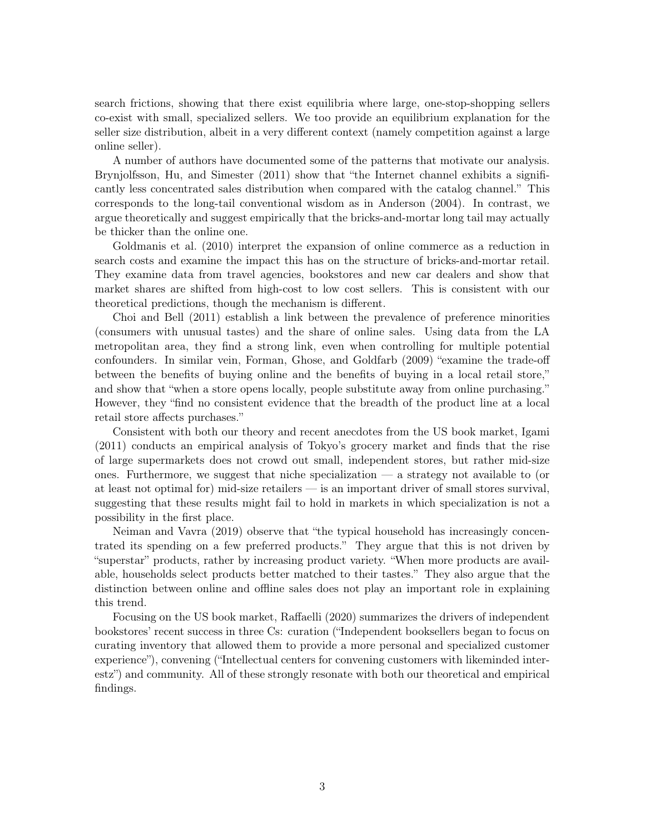search frictions, showing that there exist equilibria where large, one-stop-shopping sellers co-exist with small, specialized sellers. We too provide an equilibrium explanation for the seller size distribution, albeit in a very different context (namely competition against a large online seller).

A number of authors have documented some of the patterns that motivate our analysis. [Brynjolfsson, Hu, and Simester](#page-36-2) [\(2011\)](#page-36-2) show that "the Internet channel exhibits a significantly less concentrated sales distribution when compared with the catalog channel." This corresponds to the long-tail conventional wisdom as in [Anderson](#page-36-3) [\(2004\)](#page-36-3). In contrast, we argue theoretically and suggest empirically that the bricks-and-mortar long tail may actually be thicker than the online one.

[Goldmanis et al.](#page-36-7) [\(2010\)](#page-36-7) interpret the expansion of online commerce as a reduction in search costs and examine the impact this has on the structure of bricks-and-mortar retail. They examine data from travel agencies, bookstores and new car dealers and show that market shares are shifted from high-cost to low cost sellers. This is consistent with our theoretical predictions, though the mechanism is different.

[Choi and Bell](#page-36-8) [\(2011\)](#page-36-8) establish a link between the prevalence of preference minorities (consumers with unusual tastes) and the share of online sales. Using data from the LA metropolitan area, they find a strong link, even when controlling for multiple potential confounders. In similar vein, [Forman, Ghose, and Goldfarb](#page-36-9) [\(2009\)](#page-36-9) "examine the trade-off between the benefits of buying online and the benefits of buying in a local retail store," and show that "when a store opens locally, people substitute away from online purchasing." However, they "find no consistent evidence that the breadth of the product line at a local retail store affects purchases."

Consistent with both our theory and recent anecdotes from the US book market, [Igami](#page-36-1) [\(2011\)](#page-36-1) conducts an empirical analysis of Tokyo's grocery market and finds that the rise of large supermarkets does not crowd out small, independent stores, but rather mid-size ones. Furthermore, we suggest that niche specialization — a strategy not available to (or at least not optimal for) mid-size retailers — is an important driver of small stores survival, suggesting that these results might fail to hold in markets in which specialization is not a possibility in the first place.

[Neiman and Vavra](#page-36-10) [\(2019\)](#page-36-10) observe that "the typical household has increasingly concentrated its spending on a few preferred products." They argue that this is not driven by "superstar" products, rather by increasing product variety. "When more products are available, households select products better matched to their tastes." They also argue that the distinction between online and offline sales does not play an important role in explaining this trend.

Focusing on the US book market, [Raffaelli](#page-36-11) [\(2020\)](#page-36-11) summarizes the drivers of independent bookstores' recent success in three Cs: curation ("Independent booksellers began to focus on curating inventory that allowed them to provide a more personal and specialized customer experience"), convening ("Intellectual centers for convening customers with likeminded interestz") and community. All of these strongly resonate with both our theoretical and empirical findings.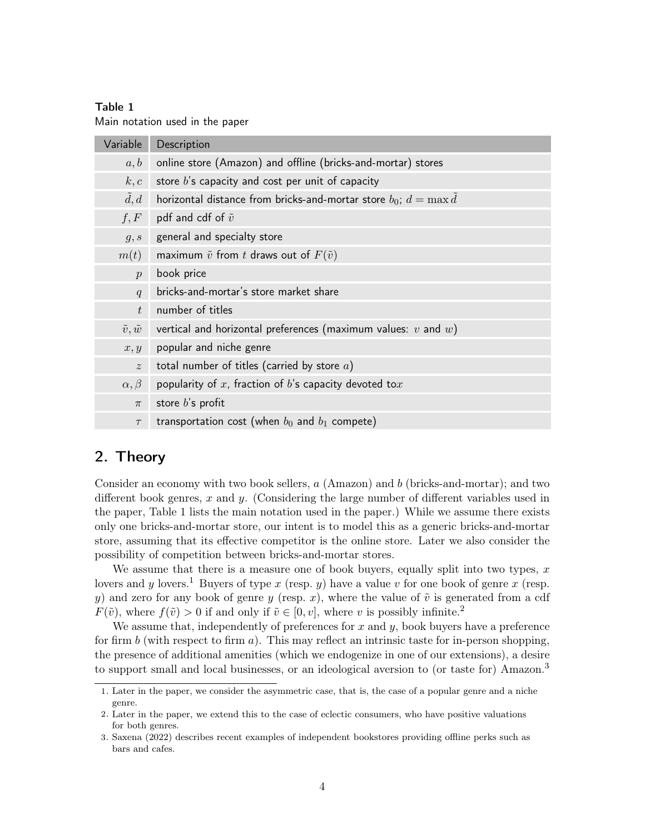#### Table 1

<span id="page-4-1"></span>Main notation used in the paper

| Variable               | Description                                                           |
|------------------------|-----------------------------------------------------------------------|
| a, b                   | online store (Amazon) and offline (bricks-and-mortar) stores          |
| k, c                   | store $b$ 's capacity and cost per unit of capacity                   |
| d, d                   | horizontal distance from bricks-and-mortar store $b_0$ ; $d = \max d$ |
| f, F                   | pdf and cdf of $\tilde{v}$                                            |
| g, s                   | general and specialty store                                           |
| m(t)                   | maximum $\tilde{v}$ from t draws out of $F(\tilde{v})$                |
| $\mathcal{D}$          | book price                                                            |
| q                      | bricks-and-mortar's store market share                                |
| t                      | number of titles                                                      |
| $\tilde{v}, \tilde{w}$ | vertical and horizontal preferences (maximum values: $v$ and $w$ )    |
| x, y                   | popular and niche genre                                               |
| $\tilde{z}$            | total number of titles (carried by store $a$ )                        |
| $\alpha, \beta$        | popularity of $x$ , fraction of $b$ 's capacity devoted to $x$        |
| $\pi$                  | store $b$ 's profit                                                   |
| $\tau$                 | transportation cost (when $b_0$ and $b_1$ compete)                    |

### <span id="page-4-0"></span>2. Theory

Consider an economy with two book sellers,  $a$  (Amazon) and b (bricks-and-mortar); and two different book genres,  $x$  and  $y$ . (Considering the large number of different variables used in the paper, Table [1](#page-4-1) lists the main notation used in the paper.) While we assume there exists only one bricks-and-mortar store, our intent is to model this as a generic bricks-and-mortar store, assuming that its effective competitor is the online store. Later we also consider the possibility of competition between bricks-and-mortar stores.

We assume that there is a measure one of book buyers, equally split into two types,  $x$ lovers and y lovers.<sup>[1](#page-0-0)</sup> Buyers of type x (resp. y) have a value v for one book of genre x (resp. y) and zero for any book of genre y (resp. x), where the value of  $\tilde{v}$  is generated from a cdf  $F(\tilde{v})$ , where  $f(\tilde{v}) > 0$  if and only if  $\tilde{v} \in [0, v]$ , where v is possibly infinite.<sup>[2](#page-0-0)</sup>

We assume that, independently of preferences for  $x$  and  $y$ , book buyers have a preference for firm b (with respect to firm a). This may reflect an intrinsic taste for in-person shopping, the presence of additional amenities (which we endogenize in one of our extensions), a desire to support small and local businesses, or an ideological aversion to (or taste for) Amazon.<sup>[3](#page-0-0)</sup>

<sup>1</sup>. Later in the paper, we consider the asymmetric case, that is, the case of a popular genre and a niche genre.

<sup>2</sup>. Later in the paper, we extend this to the case of eclectic consumers, who have positive valuations for both genres.

<sup>3</sup>. [Saxena](#page-36-12) [\(2022\)](#page-36-12) describes recent examples of independent bookstores providing offline perks such as bars and cafes.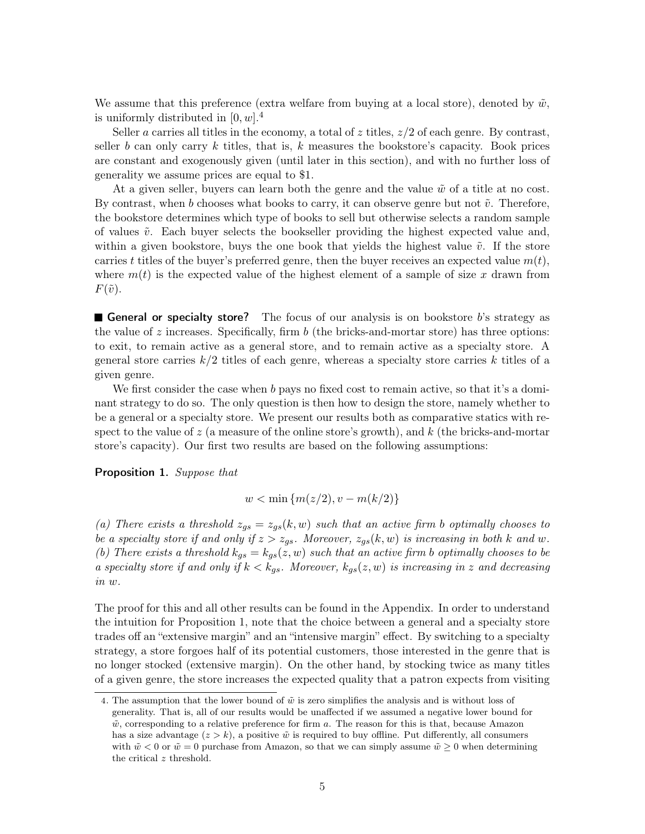We assume that this preference (extra welfare from buying at a local store), denoted by  $\tilde{w}$ , is uniformly distributed in  $[0, w]$ .<sup>[4](#page-0-0)</sup>

Seller a carries all titles in the economy, a total of z titles,  $z/2$  of each genre. By contrast, seller b can only carry k titles, that is, k measures the bookstore's capacity. Book prices are constant and exogenously given (until later in this section), and with no further loss of generality we assume prices are equal to \$1.

At a given seller, buyers can learn both the genre and the value  $\tilde{w}$  of a title at no cost. By contrast, when b chooses what books to carry, it can observe genre but not  $\tilde{v}$ . Therefore, the bookstore determines which type of books to sell but otherwise selects a random sample of values  $\tilde{v}$ . Each buyer selects the bookseller providing the highest expected value and, within a given bookstore, buys the one book that yields the highest value  $\tilde{v}$ . If the store carries t titles of the buyer's preferred genre, then the buyer receives an expected value  $m(t)$ , where  $m(t)$  is the expected value of the highest element of a sample of size x drawn from  $F(\tilde{v})$ .

General or specialty store? The focus of our analysis is on bookstore  $b$ 's strategy as the value of z increases. Specifically, firm  $b$  (the bricks-and-mortar store) has three options: to exit, to remain active as a general store, and to remain active as a specialty store. A general store carries  $k/2$  titles of each genre, whereas a specialty store carries k titles of a given genre.

We first consider the case when b pays no fixed cost to remain active, so that it's a dominant strategy to do so. The only question is then how to design the store, namely whether to be a general or a specialty store. We present our results both as comparative statics with respect to the value of  $z$  (a measure of the online store's growth), and  $k$  (the bricks-and-mortar store's capacity). Our first two results are based on the following assumptions:

<span id="page-5-0"></span>Proposition 1. Suppose that

$$
w < \min\{m(z/2), v - m(k/2)\}\
$$

(a) There exists a threshold  $z_{gs} = z_{gs}(k, w)$  such that an active firm b optimally chooses to be a specialty store if and only if  $z > z_{gs}$ . Moreover,  $z_{gs}(k, w)$  is increasing in both k and w. (b) There exists a threshold  $k_{gs} = k_{gs}(z, w)$  such that an active firm b optimally chooses to be a specialty store if and only if  $k < k_{qs}$ . Moreover,  $k_{qs}(z, w)$  is increasing in z and decreasing in w.

The proof for this and all other results can be found in the Appendix. In order to understand the intuition for Proposition [1,](#page-5-0) note that the choice between a general and a specialty store trades off an "extensive margin" and an "intensive margin" effect. By switching to a specialty strategy, a store forgoes half of its potential customers, those interested in the genre that is no longer stocked (extensive margin). On the other hand, by stocking twice as many titles of a given genre, the store increases the expected quality that a patron expects from visiting

<sup>4.</sup> The assumption that the lower bound of  $\tilde{w}$  is zero simplifies the analysis and is without loss of generality. That is, all of our results would be unaffected if we assumed a negative lower bound for  $\tilde{w}$ , corresponding to a relative preference for firm a. The reason for this is that, because Amazon has a size advantage  $(z > k)$ , a positive  $\tilde{w}$  is required to buy offline. Put differently, all consumers with  $\tilde{w} < 0$  or  $\tilde{w} = 0$  purchase from Amazon, so that we can simply assume  $\tilde{w} \ge 0$  when determining the critical z threshold.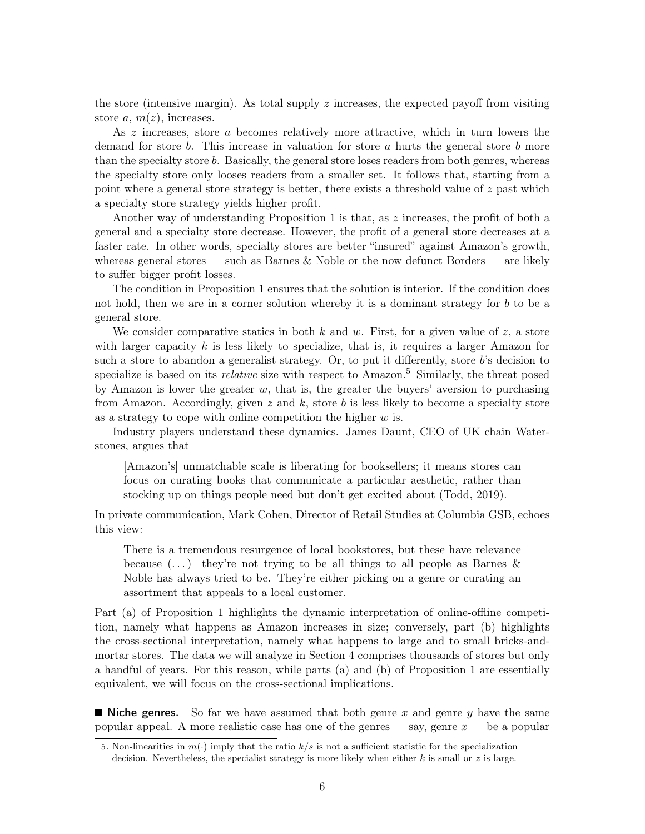the store (intensive margin). As total supply  $z$  increases, the expected payoff from visiting store a,  $m(z)$ , increases.

As z increases, store a becomes relatively more attractive, which in turn lowers the demand for store b. This increase in valuation for store a hurts the general store b more than the specialty store b. Basically, the general store loses readers from both genres, whereas the specialty store only looses readers from a smaller set. It follows that, starting from a point where a general store strategy is better, there exists a threshold value of  $z$  past which a specialty store strategy yields higher profit.

Another way of understanding Proposition [1](#page-5-0) is that, as z increases, the profit of both a general and a specialty store decrease. However, the profit of a general store decreases at a faster rate. In other words, specialty stores are better "insured" against Amazon's growth, whereas general stores — such as Barnes & Noble or the now defunct Borders — are likely to suffer bigger profit losses.

The condition in Proposition [1](#page-5-0) ensures that the solution is interior. If the condition does not hold, then we are in a corner solution whereby it is a dominant strategy for b to be a general store.

We consider comparative statics in both k and w. First, for a given value of z, a store with larger capacity  $k$  is less likely to specialize, that is, it requires a larger Amazon for such a store to abandon a generalist strategy. Or, to put it differently, store  $b$ 's decision to specialize is based on its *relative* size with respect to  $\Lambda$ mazon.<sup>[5](#page-0-0)</sup> Similarly, the threat posed by Amazon is lower the greater  $w$ , that is, the greater the buyers' aversion to purchasing from Amazon. Accordingly, given  $z$  and  $k$ , store  $b$  is less likely to become a specialty store as a strategy to cope with online competition the higher  $w$  is.

Industry players understand these dynamics. James Daunt, CEO of UK chain Waterstones, argues that

[Amazon's] unmatchable scale is liberating for booksellers; it means stores can focus on curating books that communicate a particular aesthetic, rather than stocking up on things people need but don't get excited about [\(Todd, 2019\)](#page-37-0).

In private communication, Mark Cohen, Director of Retail Studies at Columbia GSB, echoes this view:

There is a tremendous resurgence of local bookstores, but these have relevance because  $(\ldots)$  they're not trying to be all things to all people as Barnes & Noble has always tried to be. They're either picking on a genre or curating an assortment that appeals to a local customer.

Part (a) of Proposition [1](#page-5-0) highlights the dynamic interpretation of online-offline competition, namely what happens as Amazon increases in size; conversely, part (b) highlights the cross-sectional interpretation, namely what happens to large and to small bricks-andmortar stores. The data we will analyze in Section [4](#page-18-0) comprises thousands of stores but only a handful of years. For this reason, while parts (a) and (b) of Proposition [1](#page-5-0) are essentially equivalent, we will focus on the cross-sectional implications.

 $\blacksquare$  Niche genres. So far we have assumed that both genre x and genre y have the same popular appeal. A more realistic case has one of the genres — say, genre  $x$  — be a popular

<sup>5.</sup> Non-linearities in  $m(\cdot)$  imply that the ratio  $k/s$  is not a sufficient statistic for the specialization decision. Nevertheless, the specialist strategy is more likely when either  $k$  is small or  $z$  is large.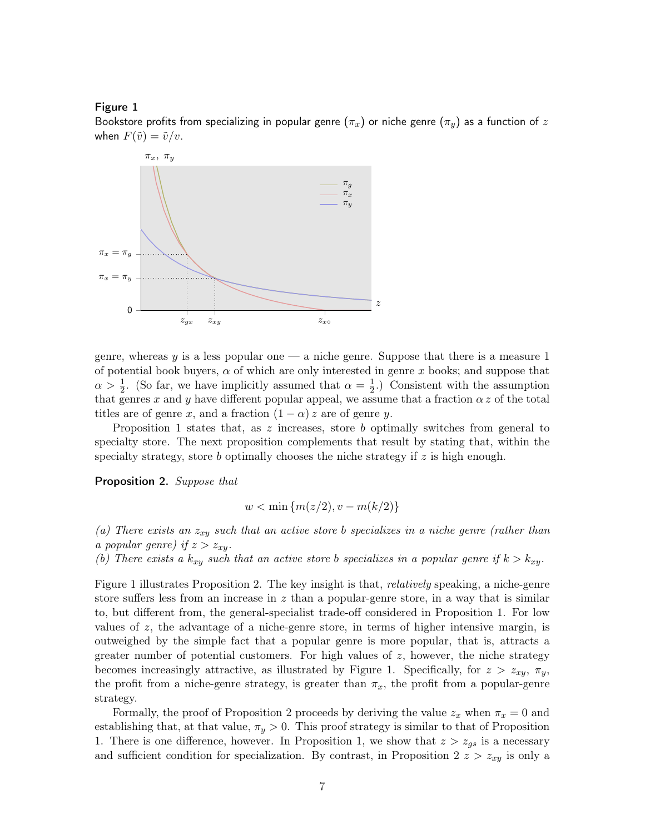#### Figure 1

<span id="page-7-0"></span>Bookstore profits from specializing in popular genre ( $\pi_x$ ) or niche genre ( $\pi_y$ ) as a function of z when  $F(\tilde{v}) = \tilde{v}/v$ .



genre, whereas  $y$  is a less popular one — a niche genre. Suppose that there is a measure 1 of potential book buyers,  $\alpha$  of which are only interested in genre x books; and suppose that  $\alpha > \frac{1}{2}$ . (So far, we have implicitly assumed that  $\alpha = \frac{1}{2}$  $\frac{1}{2}$ .) Consistent with the assumption that genres x and y have different popular appeal, we assume that a fraction  $\alpha z$  of the total titles are of genre x, and a fraction  $(1 - \alpha) z$  are of genre y.

Proposition [1](#page-5-0) states that, as  $z$  increases, store  $b$  optimally switches from general to specialty store. The next proposition complements that result by stating that, within the specialty strategy, store  $b$  optimally chooses the niche strategy if  $z$  is high enough.

<span id="page-7-1"></span>Proposition 2. Suppose that

$$
w < \min\{m(z/2), v - m(k/2)\}\
$$

(a) There exists an  $z_{xy}$  such that an active store b specializes in a niche genre (rather than a popular genre) if  $z > z_{xy}$ .

(b) There exists a  $k_{xy}$  such that an active store b specializes in a popular genre if  $k > k_{xy}$ .

Figure [1](#page-7-0) illustrates Proposition [2.](#page-7-1) The key insight is that, relatively speaking, a niche-genre store suffers less from an increase in  $z$  than a popular-genre store, in a way that is similar to, but different from, the general-specialist trade-off considered in Proposition [1.](#page-5-0) For low values of  $z$ , the advantage of a niche-genre store, in terms of higher intensive margin, is outweighed by the simple fact that a popular genre is more popular, that is, attracts a greater number of potential customers. For high values of  $z$ , however, the niche strategy becomes increasingly attractive, as illustrated by Figure [1.](#page-7-0) Specifically, for  $z > z_{xy}$ ,  $\pi_y$ , the profit from a niche-genre strategy, is greater than  $\pi_x$ , the profit from a popular-genre strategy.

Formally, the proof of Proposition [2](#page-7-1) proceeds by deriving the value  $z_x$  when  $\pi_x = 0$  and establishing that, at that value,  $\pi_y > 0$ . This proof strategy is similar to that of Proposition [1.](#page-5-0) There is one difference, however. In Proposition [1,](#page-5-0) we show that  $z > z_{gs}$  is a necessary and sufficient condition for specialization. By contrast, in Proposition [2](#page-7-1)  $z > z_{xy}$  is only a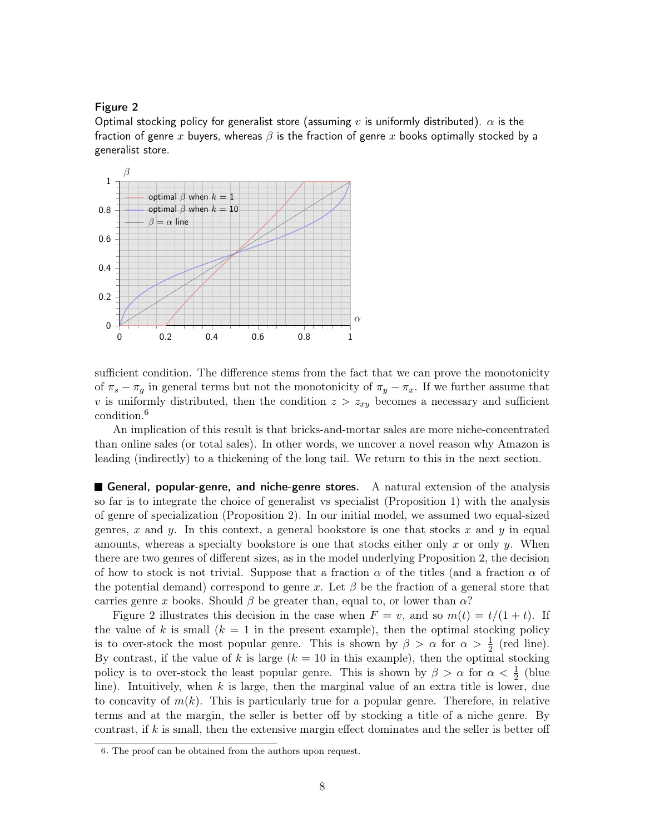#### Figure 2

<span id="page-8-0"></span>Optimal stocking policy for generalist store (assuming v is uniformly distributed).  $\alpha$  is the fraction of genre x buyers, whereas  $\beta$  is the fraction of genre x books optimally stocked by a generalist store.



sufficient condition. The difference stems from the fact that we can prove the monotonicity of  $\pi_s - \pi_q$  in general terms but not the monotonicity of  $\pi_y - \pi_x$ . If we further assume that v is uniformly distributed, then the condition  $z > z_{xy}$  becomes a necessary and sufficient condition.[6](#page-0-0)

An implication of this result is that bricks-and-mortar sales are more niche-concentrated than online sales (or total sales). In other words, we uncover a novel reason why Amazon is leading (indirectly) to a thickening of the long tail. We return to this in the next section.

General, popular-genre, and niche-genre stores. A natural extension of the analysis so far is to integrate the choice of generalist vs specialist (Proposition [1\)](#page-5-0) with the analysis of genre of specialization (Proposition [2\)](#page-7-1). In our initial model, we assumed two equal-sized genres, x and y. In this context, a general bookstore is one that stocks x and y in equal amounts, whereas a specialty bookstore is one that stocks either only x or only  $y$ . When there are two genres of different sizes, as in the model underlying Proposition [2,](#page-7-1) the decision of how to stock is not trivial. Suppose that a fraction  $\alpha$  of the titles (and a fraction  $\alpha$  of the potential demand) correspond to genre x. Let  $\beta$  be the fraction of a general store that carries genre x books. Should  $\beta$  be greater than, equal to, or lower than  $\alpha$ ?

Figure [2](#page-8-0) illustrates this decision in the case when  $F = v$ , and so  $m(t) = t/(1 + t)$ . If the value of k is small  $(k = 1$  in the present example), then the optimal stocking policy is to over-stock the most popular genre. This is shown by  $\beta > \alpha$  for  $\alpha > \frac{1}{2}$  (red line). By contrast, if the value of k is large  $(k = 10$  in this example), then the optimal stocking policy is to over-stock the least popular genre. This is shown by  $\beta > \alpha$  for  $\alpha < \frac{1}{2}$  (blue line). Intuitively, when  $k$  is large, then the marginal value of an extra title is lower, due to concavity of  $m(k)$ . This is particularly true for a popular genre. Therefore, in relative terms and at the margin, the seller is better off by stocking a title of a niche genre. By contrast, if  $k$  is small, then the extensive margin effect dominates and the seller is better off

<sup>6</sup>. The proof can be obtained from the authors upon request.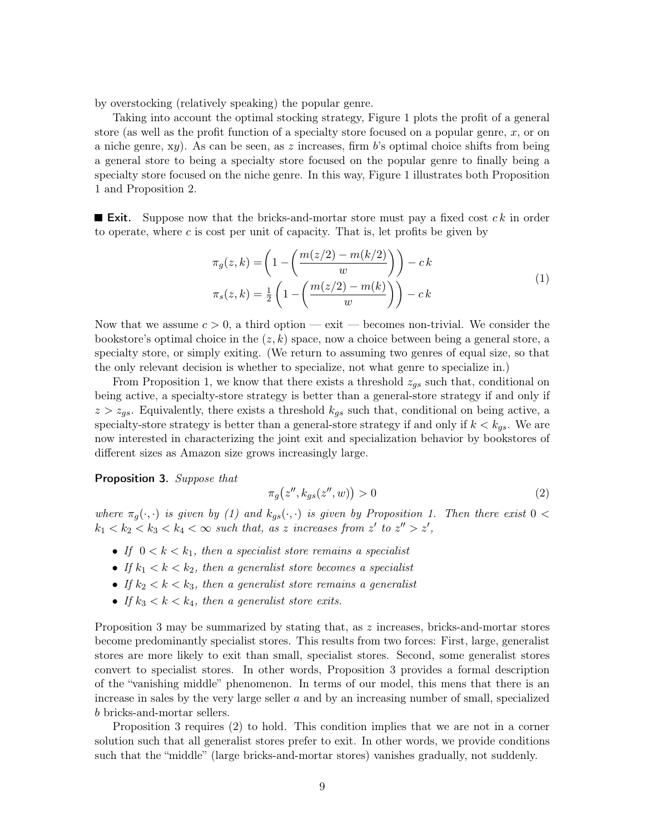by overstocking (relatively speaking) the popular genre.

Taking into account the optimal stocking strategy, Figure [1](#page-7-0) plots the profit of a general store (as well as the profit function of a specialty store focused on a popular genre,  $x$ , or on a niche genre,  $xy$ ). As can be seen, as z increases, firm b's optimal choice shifts from being a general store to being a specialty store focused on the popular genre to finally being a specialty store focused on the niche genre. In this way, Figure [1](#page-7-0) illustrates both Proposition [1](#page-5-0) and Proposition [2.](#page-7-1)

**Exit.** Suppose now that the bricks-and-mortar store must pay a fixed cost  $ck$  in order to operate, where  $c$  is cost per unit of capacity. That is, let profits be given by

$$
\pi_g(z,k) = \left(1 - \left(\frac{m(z/2) - m(k/2)}{w}\right)\right) - ck
$$
  

$$
\pi_s(z,k) = \frac{1}{2} \left(1 - \left(\frac{m(z/2) - m(k)}{w}\right)\right) - ck
$$
 (1)

<span id="page-9-0"></span>Now that we assume  $c > 0$ , a third option — exit — becomes non-trivial. We consider the bookstore's optimal choice in the  $(z, k)$  space, now a choice between being a general store, a specialty store, or simply exiting. (We return to assuming two genres of equal size, so that the only relevant decision is whether to specialize, not what genre to specialize in.)

From Proposition [1,](#page-5-0) we know that there exists a threshold  $z_{qs}$  such that, conditional on being active, a specialty-store strategy is better than a general-store strategy if and only if  $z > z_{gs}$ . Equivalently, there exists a threshold  $k_{gs}$  such that, conditional on being active, a specialty-store strategy is better than a general-store strategy if and only if  $k < k_{gs}$ . We are now interested in characterizing the joint exit and specialization behavior by bookstores of different sizes as Amazon size grows increasingly large.

<span id="page-9-1"></span>Proposition 3. Suppose that

<span id="page-9-2"></span>
$$
\pi_g(z'', k_{gs}(z'', w)) > 0 \tag{2}
$$

where  $\pi_g(\cdot, \cdot)$  is given by [\(1\)](#page-9-0) and  $k_{gs}(\cdot, \cdot)$  is given by Proposition [1.](#page-5-0) Then there exist  $0 <$  $k_1 < k_2 < k_3 < k_4 < \infty$  such that, as z increases from z' to  $z'' > z'$ ,

- If  $0 < k < k_1$ , then a specialist store remains a specialist
- If  $k_1 < k < k_2$ , then a generalist store becomes a specialist
- If  $k_2 < k < k_3$ , then a generalist store remains a generalist
- If  $k_3 < k < k_4$ , then a generalist store exits.

Proposition [3](#page-9-1) may be summarized by stating that, as z increases, bricks-and-mortar stores become predominantly specialist stores. This results from two forces: First, large, generalist stores are more likely to exit than small, specialist stores. Second, some generalist stores convert to specialist stores. In other words, Proposition [3](#page-9-1) provides a formal description of the "vanishing middle" phenomenon. In terms of our model, this mens that there is an increase in sales by the very large seller  $a$  and by an increasing number of small, specialized b bricks-and-mortar sellers.

Proposition [3](#page-9-1) requires [\(2\)](#page-9-2) to hold. This condition implies that we are not in a corner solution such that all generalist stores prefer to exit. In other words, we provide conditions such that the "middle" (large bricks-and-mortar stores) vanishes gradually, not suddenly.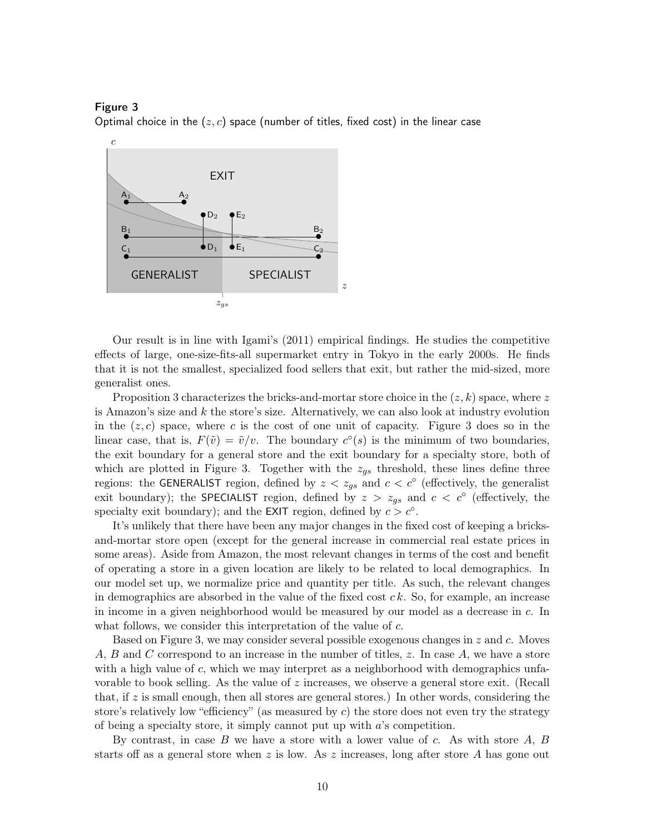#### Figure 3

<span id="page-10-0"></span>Optimal choice in the  $(z, c)$  space (number of titles, fixed cost) in the linear case



Our result is in line with [Igami'](#page-36-1)s [\(2011\)](#page-36-1) empirical findings. He studies the competitive effects of large, one-size-fits-all supermarket entry in Tokyo in the early 2000s. He finds that it is not the smallest, specialized food sellers that exit, but rather the mid-sized, more generalist ones.

Proposition [3](#page-9-1) characterizes the bricks-and-mortar store choice in the  $(z, k)$  space, where z is Amazon's size and  $k$  the store's size. Alternatively, we can also look at industry evolution in the  $(z, c)$  space, where c is the cost of one unit of capacity. Figure [3](#page-10-0) does so in the linear case, that is,  $F(\tilde{v}) = \tilde{v}/v$ . The boundary  $c^{\circ}(s)$  is the minimum of two boundaries, the exit boundary for a general store and the exit boundary for a specialty store, both of which are plotted in Figure [3.](#page-10-0) Together with the  $z_{gs}$  threshold, these lines define three regions: the GENERALIST region, defined by  $z < z_{gs}$  and  $c < c^{\circ}$  (effectively, the generalist exit boundary); the SPECIALIST region, defined by  $z > z_{gs}$  and  $c < c^{\circ}$  (effectively, the specialty exit boundary); and the EXIT region, defined by  $c > c<sup>°</sup>$ .

It's unlikely that there have been any major changes in the fixed cost of keeping a bricksand-mortar store open (except for the general increase in commercial real estate prices in some areas). Aside from Amazon, the most relevant changes in terms of the cost and benefit of operating a store in a given location are likely to be related to local demographics. In our model set up, we normalize price and quantity per title. As such, the relevant changes in demographics are absorbed in the value of the fixed cost  $ck$ . So, for example, an increase in income in a given neighborhood would be measured by our model as a decrease in c. In what follows, we consider this interpretation of the value of c.

Based on Figure [3,](#page-10-0) we may consider several possible exogenous changes in z and c. Moves A, B and C correspond to an increase in the number of titles,  $z$ . In case  $A$ , we have a store with a high value of c, which we may interpret as a neighborhood with demographics unfavorable to book selling. As the value of z increases, we observe a general store exit. (Recall that, if  $z$  is small enough, then all stores are general stores.) In other words, considering the store's relatively low "efficiency" (as measured by  $c$ ) the store does not even try the strategy of being a specialty store, it simply cannot put up with  $a$ 's competition.

By contrast, in case  $B$  we have a store with a lower value of  $c$ . As with store  $A, B$ starts off as a general store when z is low. As z increases, long after store A has gone out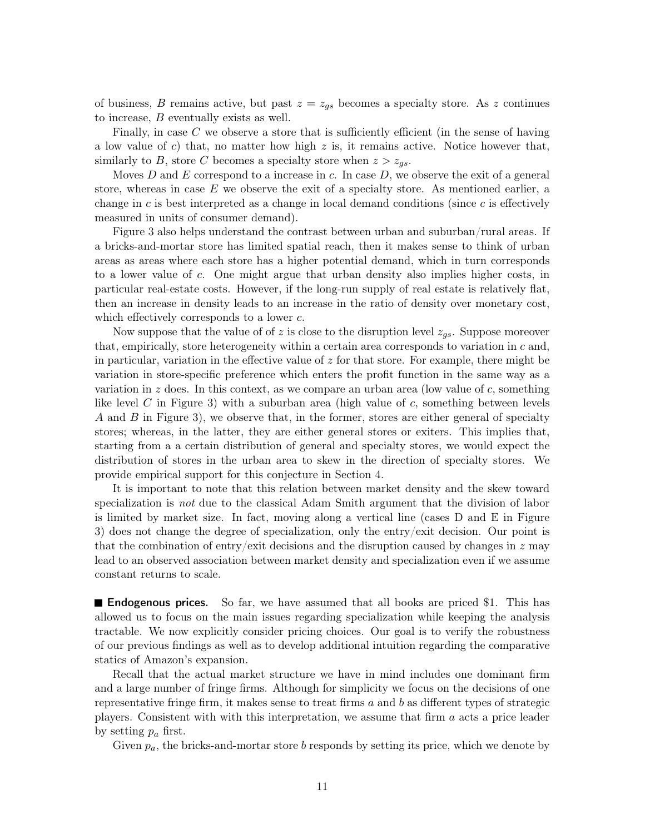of business, B remains active, but past  $z = z_{gs}$  becomes a specialty store. As z continues to increase, B eventually exists as well.

Finally, in case  $C$  we observe a store that is sufficiently efficient (in the sense of having a low value of c) that, no matter how high z is, it remains active. Notice however that, similarly to B, store C becomes a specialty store when  $z > z_{gs}$ .

Moves D and E correspond to a increase in c. In case  $D$ , we observe the exit of a general store, whereas in case  $E$  we observe the exit of a specialty store. As mentioned earlier, a change in  $c$  is best interpreted as a change in local demand conditions (since  $c$  is effectively measured in units of consumer demand).

Figure [3](#page-10-0) also helps understand the contrast between urban and suburban/rural areas. If a bricks-and-mortar store has limited spatial reach, then it makes sense to think of urban areas as areas where each store has a higher potential demand, which in turn corresponds to a lower value of c. One might argue that urban density also implies higher costs, in particular real-estate costs. However, if the long-run supply of real estate is relatively flat, then an increase in density leads to an increase in the ratio of density over monetary cost, which effectively corresponds to a lower  $c$ .

Now suppose that the value of of z is close to the disruption level  $z_{gs}$ . Suppose moreover that, empirically, store heterogeneity within a certain area corresponds to variation in  $c$  and, in particular, variation in the effective value of  $z$  for that store. For example, there might be variation in store-specific preference which enters the profit function in the same way as a variation in z does. In this context, as we compare an urban area (low value of c, something like level C in Figure [3\)](#page-10-0) with a suburban area (high value of  $c$ , something between levels A and B in Figure [3\)](#page-10-0), we observe that, in the former, stores are either general of specialty stores; whereas, in the latter, they are either general stores or exiters. This implies that, starting from a a certain distribution of general and specialty stores, we would expect the distribution of stores in the urban area to skew in the direction of specialty stores. We provide empirical support for this conjecture in Section [4.](#page-18-0)

It is important to note that this relation between market density and the skew toward specialization is *not* due to the classical Adam Smith argument that the division of labor is limited by market size. In fact, moving along a vertical line (cases D and E in Figure [3\)](#page-10-0) does not change the degree of specialization, only the entry/exit decision. Our point is that the combination of entry/exit decisions and the disruption caused by changes in  $z$  may lead to an observed association between market density and specialization even if we assume constant returns to scale.

**Endogenous prices.** So far, we have assumed that all books are priced \$1. This has allowed us to focus on the main issues regarding specialization while keeping the analysis tractable. We now explicitly consider pricing choices. Our goal is to verify the robustness of our previous findings as well as to develop additional intuition regarding the comparative statics of Amazon's expansion.

Recall that the actual market structure we have in mind includes one dominant firm and a large number of fringe firms. Although for simplicity we focus on the decisions of one representative fringe firm, it makes sense to treat firms  $a$  and  $b$  as different types of strategic players. Consistent with with this interpretation, we assume that firm a acts a price leader by setting  $p_a$  first.

Given  $p_a$ , the bricks-and-mortar store b responds by setting its price, which we denote by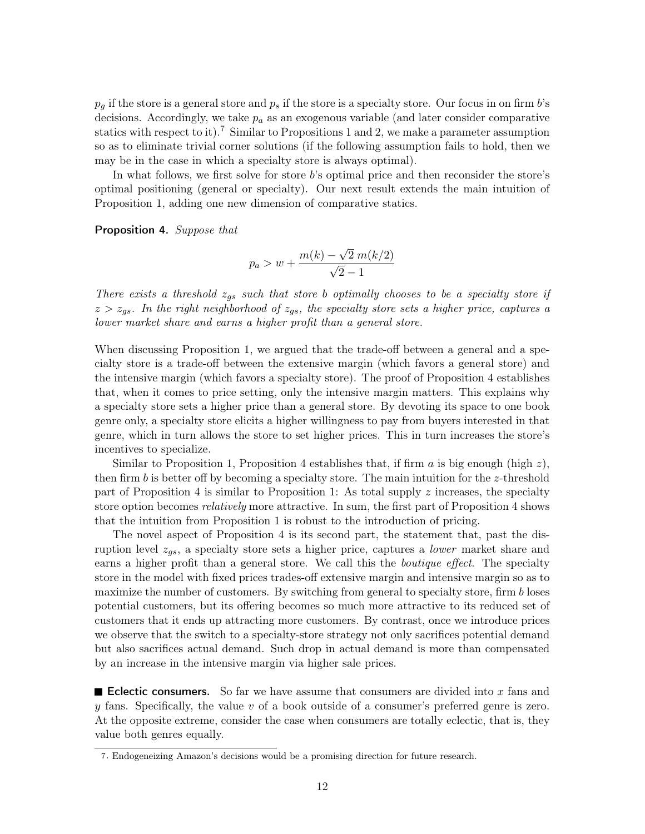$p_q$  if the store is a general store and  $p_s$  if the store is a specialty store. Our focus in on firm  $b$ 's decisions. Accordingly, we take  $p_a$  as an exogenous variable (and later consider comparative statics with respect to it).<sup>[7](#page-0-0)</sup> Similar to Propositions [1](#page-5-0) and [2,](#page-7-1) we make a parameter assumption so as to eliminate trivial corner solutions (if the following assumption fails to hold, then we may be in the case in which a specialty store is always optimal).

In what follows, we first solve for store b's optimal price and then reconsider the store's optimal positioning (general or specialty). Our next result extends the main intuition of Proposition [1,](#page-5-0) adding one new dimension of comparative statics.

<span id="page-12-0"></span>Proposition 4. Suppose that

$$
p_a > w + \frac{m(k) - \sqrt{2} \ m(k/2)}{\sqrt{2} - 1}
$$

There exists a threshold  $z_{gs}$  such that store b optimally chooses to be a specialty store if  $z > z_{gs}$ . In the right neighborhood of  $z_{gs}$ , the specialty store sets a higher price, captures a lower market share and earns a higher profit than a general store.

When discussing Proposition [1,](#page-5-0) we argued that the trade-off between a general and a specialty store is a trade-off between the extensive margin (which favors a general store) and the intensive margin (which favors a specialty store). The proof of Proposition [4](#page-12-0) establishes that, when it comes to price setting, only the intensive margin matters. This explains why a specialty store sets a higher price than a general store. By devoting its space to one book genre only, a specialty store elicits a higher willingness to pay from buyers interested in that genre, which in turn allows the store to set higher prices. This in turn increases the store's incentives to specialize.

Similar to Proposition [1,](#page-5-0) Proposition [4](#page-12-0) establishes that, if firm a is big enough (high  $z$ ), then firm b is better off by becoming a specialty store. The main intuition for the z-threshold part of Proposition [4](#page-12-0) is similar to Proposition [1:](#page-5-0) As total supply  $z$  increases, the specialty store option becomes *relatively* more attractive. In sum, the first part of Proposition [4](#page-12-0) shows that the intuition from Proposition [1](#page-5-0) is robust to the introduction of pricing.

The novel aspect of Proposition [4](#page-12-0) is its second part, the statement that, past the disruption level  $z_{gs}$ , a specialty store sets a higher price, captures a *lower* market share and earns a higher profit than a general store. We call this the *boutique effect*. The specialty store in the model with fixed prices trades-off extensive margin and intensive margin so as to maximize the number of customers. By switching from general to specialty store, firm b loses potential customers, but its offering becomes so much more attractive to its reduced set of customers that it ends up attracting more customers. By contrast, once we introduce prices we observe that the switch to a specialty-store strategy not only sacrifices potential demand but also sacrifices actual demand. Such drop in actual demand is more than compensated by an increase in the intensive margin via higher sale prices.

**Exerche Eclectic consumers.** So far we have assume that consumers are divided into x fans and  $y$  fans. Specifically, the value  $v$  of a book outside of a consumer's preferred genre is zero. At the opposite extreme, consider the case when consumers are totally eclectic, that is, they value both genres equally.

<sup>7</sup>. Endogeneizing Amazon's decisions would be a promising direction for future research.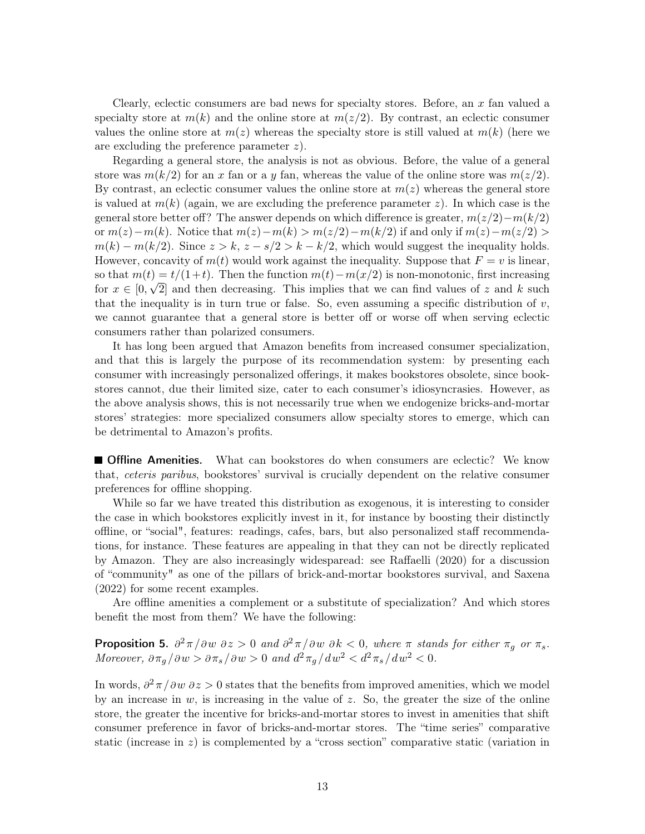Clearly, eclectic consumers are bad news for specialty stores. Before, an  $x$  fan valued a specialty store at  $m(k)$  and the online store at  $m(z/2)$ . By contrast, an eclectic consumer values the online store at  $m(z)$  whereas the specialty store is still valued at  $m(k)$  (here we are excluding the preference parameter z).

Regarding a general store, the analysis is not as obvious. Before, the value of a general store was  $m(k/2)$  for an x fan or a y fan, whereas the value of the online store was  $m(z/2)$ . By contrast, an eclectic consumer values the online store at  $m(z)$  whereas the general store is valued at  $m(k)$  (again, we are excluding the preference parameter z). In which case is the general store better off? The answer depends on which difference is greater,  $m(z/2)-m(k/2)$ or  $m(z)-m(k)$ . Notice that  $m(z)-m(k) > m(z/2)-m(k/2)$  if and only if  $m(z)-m(z/2) >$  $m(k) - m(k/2)$ . Since  $z > k$ ,  $z - s/2 > k - k/2$ , which would suggest the inequality holds. However, concavity of  $m(t)$  would work against the inequality. Suppose that  $F = v$  is linear, so that  $m(t) = t/(1+t)$ . Then the function  $m(t) - m(x/2)$  is non-monotonic, first increasing for  $x \in [0, \sqrt{2}]$  and then decreasing. This implies that we can find values of z and k such that the inequality is in turn true or false. So, even assuming a specific distribution of  $v$ , we cannot guarantee that a general store is better off or worse off when serving eclectic consumers rather than polarized consumers.

It has long been argued that Amazon benefits from increased consumer specialization, and that this is largely the purpose of its recommendation system: by presenting each consumer with increasingly personalized offerings, it makes bookstores obsolete, since bookstores cannot, due their limited size, cater to each consumer's idiosyncrasies. However, as the above analysis shows, this is not necessarily true when we endogenize bricks-and-mortar stores' strategies: more specialized consumers allow specialty stores to emerge, which can be detrimental to Amazon's profits.

**Offline Amenities.** What can bookstores do when consumers are eclectic? We know that, ceteris paribus, bookstores' survival is crucially dependent on the relative consumer preferences for offline shopping.

While so far we have treated this distribution as exogenous, it is interesting to consider the case in which bookstores explicitly invest in it, for instance by boosting their distinctly offline, or "social", features: readings, cafes, bars, but also personalized staff recommendations, for instance. These features are appealing in that they can not be directly replicated by Amazon. They are also increasingly widesparead: see [Raffaelli](#page-36-11) [\(2020\)](#page-36-11) for a discussion of "community" as one of the pillars of brick-and-mortar bookstores survival, and [Saxena](#page-36-12) [\(2022\)](#page-36-12) for some recent examples.

Are offline amenities a complement or a substitute of specialization? And which stores benefit the most from them? We have the following:

<span id="page-13-0"></span>**Proposition 5.**  $\partial^2 \pi / \partial w \partial z > 0$  and  $\partial^2 \pi / \partial w \partial k < 0$ , where  $\pi$  stands for either  $\pi_g$  or  $\pi_s$ . Moreover,  $\partial \pi_g / \partial w > \partial \pi_s / \partial w > 0$  and  $d^2 \pi_g / dw^2 < d^2 \pi_s / dw^2 < 0$ .

In words,  $\partial^2 \pi / \partial w \partial z > 0$  states that the benefits from improved amenities, which we model by an increase in  $w$ , is increasing in the value of z. So, the greater the size of the online store, the greater the incentive for bricks-and-mortar stores to invest in amenities that shift consumer preference in favor of bricks-and-mortar stores. The "time series" comparative static (increase in  $z$ ) is complemented by a "cross section" comparative static (variation in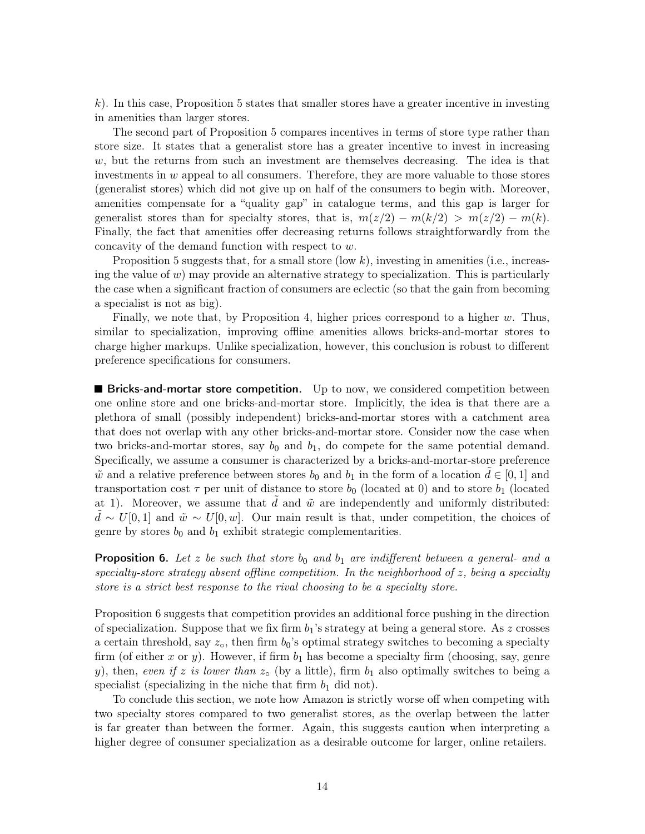$k$ ). In this case, Proposition [5](#page-13-0) states that smaller stores have a greater incentive in investing in amenities than larger stores.

The second part of Proposition [5](#page-13-0) compares incentives in terms of store type rather than store size. It states that a generalist store has a greater incentive to invest in increasing  $w$ , but the returns from such an investment are themselves decreasing. The idea is that investments in  $w$  appeal to all consumers. Therefore, they are more valuable to those stores (generalist stores) which did not give up on half of the consumers to begin with. Moreover, amenities compensate for a "quality gap" in catalogue terms, and this gap is larger for generalist stores than for specialty stores, that is,  $m(z/2) - m(k/2) > m(z/2) - m(k)$ . Finally, the fact that amenities offer decreasing returns follows straightforwardly from the concavity of the demand function with respect to w.

Proposition [5](#page-13-0) suggests that, for a small store (low  $k$ ), investing in amenities (i.e., increasing the value of  $w$ ) may provide an alternative strategy to specialization. This is particularly the case when a significant fraction of consumers are eclectic (so that the gain from becoming a specialist is not as big).

Finally, we note that, by Proposition [4,](#page-12-0) higher prices correspond to a higher  $w$ . Thus, similar to specialization, improving offline amenities allows bricks-and-mortar stores to charge higher markups. Unlike specialization, however, this conclusion is robust to different preference specifications for consumers.

**Bricks-and-mortar store competition.** Up to now, we considered competition between one online store and one bricks-and-mortar store. Implicitly, the idea is that there are a plethora of small (possibly independent) bricks-and-mortar stores with a catchment area that does not overlap with any other bricks-and-mortar store. Consider now the case when two bricks-and-mortar stores, say  $b_0$  and  $b_1$ , do compete for the same potential demand. Specifically, we assume a consumer is characterized by a bricks-and-mortar-store preference  $\tilde{w}$  and a relative preference between stores  $b_0$  and  $b_1$  in the form of a location  $d \in [0,1]$  and transportation cost  $\tau$  per unit of distance to store  $b_0$  (located at 0) and to store  $b_1$  (located at 1). Moreover, we assume that  $d$  and  $\tilde{w}$  are independently and uniformly distributed:  $d \sim U[0, 1]$  and  $\tilde{w} \sim U[0, w]$ . Our main result is that, under competition, the choices of genre by stores  $b_0$  and  $b_1$  exhibit strategic complementarities.

<span id="page-14-0"></span>**Proposition 6.** Let z be such that store  $b_0$  and  $b_1$  are indifferent between a general- and a specialty-store strategy absent offline competition. In the neighborhood of z, being a specialty store is a strict best response to the rival choosing to be a specialty store.

Proposition [6](#page-14-0) suggests that competition provides an additional force pushing in the direction of specialization. Suppose that we fix firm  $b_1$ 's strategy at being a general store. As z crosses a certain threshold, say  $z<sub>o</sub>$ , then firm  $b<sub>0</sub>$ 's optimal strategy switches to becoming a specialty firm (of either x or y). However, if firm  $b_1$  has become a specialty firm (choosing, say, genre y), then, even if z is lower than  $z<sub>o</sub>$  (by a little), firm  $b<sub>1</sub>$  also optimally switches to being a specialist (specializing in the niche that firm  $b_1$  did not).

To conclude this section, we note how Amazon is strictly worse off when competing with two specialty stores compared to two generalist stores, as the overlap between the latter is far greater than between the former. Again, this suggests caution when interpreting a higher degree of consumer specialization as a desirable outcome for larger, online retailers.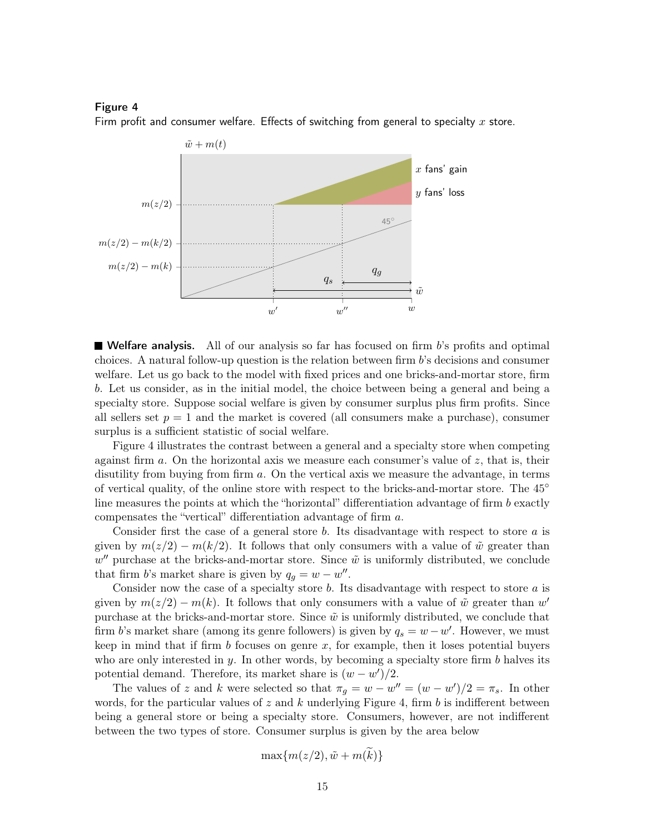#### Figure 4

<span id="page-15-0"></span>Firm profit and consumer welfare. Effects of switching from general to specialty  $x$  store.



**Welfare analysis.** All of our analysis so far has focused on firm  $b$ 's profits and optimal choices. A natural follow-up question is the relation between firm b's decisions and consumer welfare. Let us go back to the model with fixed prices and one bricks-and-mortar store, firm b. Let us consider, as in the initial model, the choice between being a general and being a specialty store. Suppose social welfare is given by consumer surplus plus firm profits. Since all sellers set  $p = 1$  and the market is covered (all consumers make a purchase), consumer surplus is a sufficient statistic of social welfare.

Figure [4](#page-15-0) illustrates the contrast between a general and a specialty store when competing against firm  $a$ . On the horizontal axis we measure each consumer's value of  $z$ , that is, their disutility from buying from firm a. On the vertical axis we measure the advantage, in terms of vertical quality, of the online store with respect to the bricks-and-mortar store. The 45◦ line measures the points at which the "horizontal" differentiation advantage of firm  $b$  exactly compensates the "vertical" differentiation advantage of firm a.

Consider first the case of a general store  $b$ . Its disadvantage with respect to store  $a$  is given by  $m(z/2) - m(k/2)$ . It follows that only consumers with a value of  $\tilde{w}$  greater than  $w''$  purchase at the bricks-and-mortar store. Since  $\tilde{w}$  is uniformly distributed, we conclude that firm b's market share is given by  $q_g = w - w''$ .

Consider now the case of a specialty store  $b$ . Its disadvantage with respect to store  $a$  is given by  $m(z/2) - m(k)$ . It follows that only consumers with a value of  $\tilde{w}$  greater than w' purchase at the bricks-and-mortar store. Since  $\tilde{w}$  is uniformly distributed, we conclude that firm b's market share (among its genre followers) is given by  $q_s = w - w'$ . However, we must keep in mind that if firm  $b$  focuses on genre  $x$ , for example, then it loses potential buyers who are only interested in  $y$ . In other words, by becoming a specialty store firm  $b$  halves its potential demand. Therefore, its market share is  $(w - w')/2$ .

The values of z and k were selected so that  $\pi_g = w - w'' = (w - w')/2 = \pi_s$ . In other words, for the particular values of z and k underlying Figure [4,](#page-15-0) firm b is indifferent between being a general store or being a specialty store. Consumers, however, are not indifferent between the two types of store. Consumer surplus is given by the area below

$$
\max\{m(z/2), \tilde{w} + m(\tilde{k})\}
$$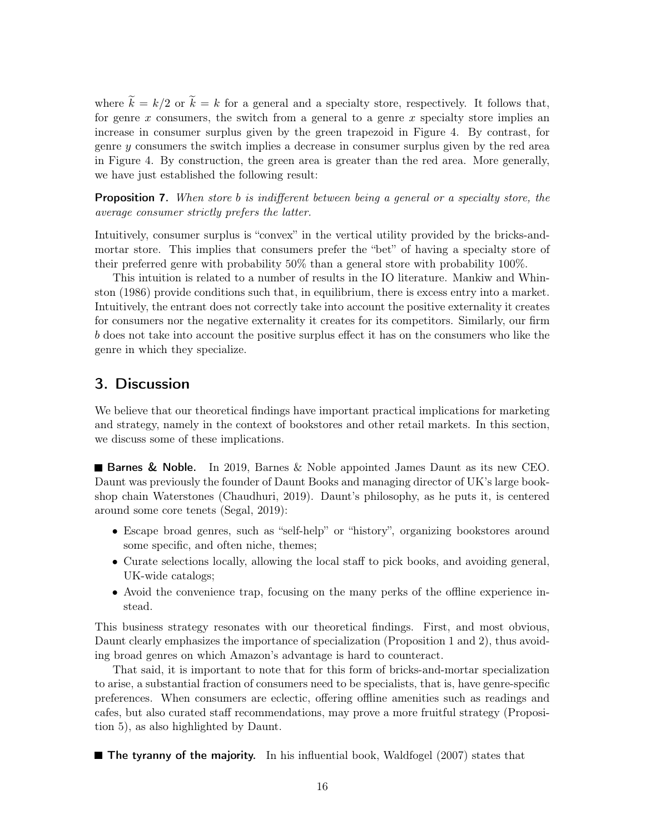where  $\tilde{k} = k/2$  or  $\tilde{k} = k$  for a general and a specialty store, respectively. It follows that, for genre x consumers, the switch from a general to a genre x specialty store implies an increase in consumer surplus given by the green trapezoid in Figure [4.](#page-15-0) By contrast, for genre  $\gamma$  consumers the switch implies a decrease in consumer surplus given by the red area in Figure [4.](#page-15-0) By construction, the green area is greater than the red area. More generally, we have just established the following result:

<span id="page-16-1"></span>**Proposition 7.** When store b is indifferent between being a general or a specialty store, the average consumer strictly prefers the latter.

Intuitively, consumer surplus is "convex" in the vertical utility provided by the bricks-andmortar store. This implies that consumers prefer the "bet" of having a specialty store of their preferred genre with probability 50% than a general store with probability 100%.

This intuition is related to a number of results in the IO literature. [Mankiw and Whin](#page-36-13)[ston](#page-36-13) [\(1986\)](#page-36-13) provide conditions such that, in equilibrium, there is excess entry into a market. Intuitively, the entrant does not correctly take into account the positive externality it creates for consumers nor the negative externality it creates for its competitors. Similarly, our firm b does not take into account the positive surplus effect it has on the consumers who like the genre in which they specialize.

# <span id="page-16-0"></span>3. Discussion

We believe that our theoretical findings have important practical implications for marketing and strategy, namely in the context of bookstores and other retail markets. In this section, we discuss some of these implications.

**Barnes & Noble.** In 2019, Barnes  $\&$  Noble appointed James Daunt as its new CEO. Daunt was previously the founder of Daunt Books and managing director of UK's large bookshop chain Waterstones [\(Chaudhuri, 2019\)](#page-36-14). Daunt's philosophy, as he puts it, is centered around some core tenets [\(Segal, 2019\)](#page-37-1):

- Escape broad genres, such as "self-help" or "history", organizing bookstores around some specific, and often niche, themes;
- Curate selections locally, allowing the local staff to pick books, and avoiding general, UK-wide catalogs;
- Avoid the convenience trap, focusing on the many perks of the offline experience instead.

This business strategy resonates with our theoretical findings. First, and most obvious, Daunt clearly emphasizes the importance of specialization (Proposition [1](#page-5-0) and [2\)](#page-7-1), thus avoiding broad genres on which Amazon's advantage is hard to counteract.

That said, it is important to note that for this form of bricks-and-mortar specialization to arise, a substantial fraction of consumers need to be specialists, that is, have genre-specific preferences. When consumers are eclectic, offering offline amenities such as readings and cafes, but also curated staff recommendations, may prove a more fruitful strategy (Proposition [5\)](#page-13-0), as also highlighted by Daunt.

 $\blacksquare$  The tyranny of the majority. In his influential book, [Waldfogel](#page-37-2) [\(2007\)](#page-37-2) states that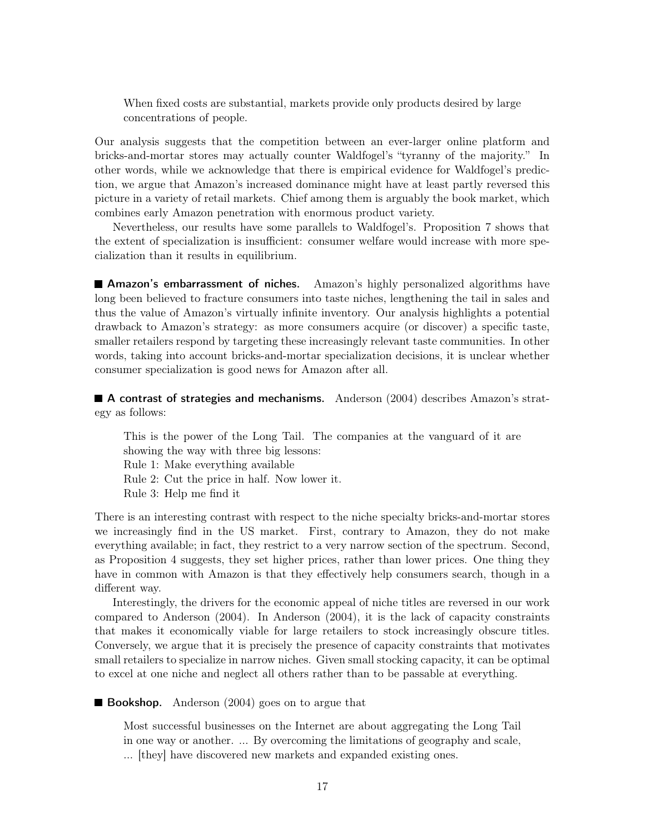When fixed costs are substantial, markets provide only products desired by large concentrations of people.

Our analysis suggests that the competition between an ever-larger online platform and bricks-and-mortar stores may actually counter Waldfogel's "tyranny of the majority." In other words, while we acknowledge that there is empirical evidence for Waldfogel's prediction, we argue that Amazon's increased dominance might have at least partly reversed this picture in a variety of retail markets. Chief among them is arguably the book market, which combines early Amazon penetration with enormous product variety.

Nevertheless, our results have some parallels to Waldfogel's. Proposition [7](#page-16-1) shows that the extent of specialization is insufficient: consumer welfare would increase with more specialization than it results in equilibrium.

**Amazon's embarrassment of niches.** Amazon's highly personalized algorithms have long been believed to fracture consumers into taste niches, lengthening the tail in sales and thus the value of Amazon's virtually infinite inventory. Our analysis highlights a potential drawback to Amazon's strategy: as more consumers acquire (or discover) a specific taste, smaller retailers respond by targeting these increasingly relevant taste communities. In other words, taking into account bricks-and-mortar specialization decisions, it is unclear whether consumer specialization is good news for Amazon after all.

**A contrast of strategies and mechanisms.** [Anderson](#page-36-3) [\(2004\)](#page-36-3) describes Amazon's strategy as follows:

This is the power of the Long Tail. The companies at the vanguard of it are showing the way with three big lessons: Rule 1: Make everything available Rule 2: Cut the price in half. Now lower it. Rule 3: Help me find it

There is an interesting contrast with respect to the niche specialty bricks-and-mortar stores we increasingly find in the US market. First, contrary to Amazon, they do not make everything available; in fact, they restrict to a very narrow section of the spectrum. Second, as Proposition [4](#page-12-0) suggests, they set higher prices, rather than lower prices. One thing they have in common with Amazon is that they effectively help consumers search, though in a different way.

Interestingly, the drivers for the economic appeal of niche titles are reversed in our work compared to [Anderson](#page-36-3) [\(2004\)](#page-36-3). In [Anderson](#page-36-3) [\(2004\)](#page-36-3), it is the lack of capacity constraints that makes it economically viable for large retailers to stock increasingly obscure titles. Conversely, we argue that it is precisely the presence of capacity constraints that motivates small retailers to specialize in narrow niches. Given small stocking capacity, it can be optimal to excel at one niche and neglect all others rather than to be passable at everything.

**Bookshop.** [Anderson](#page-36-3)  $(2004)$  goes on to argue that

Most successful businesses on the Internet are about aggregating the Long Tail in one way or another. ... By overcoming the limitations of geography and scale, ... [they] have discovered new markets and expanded existing ones.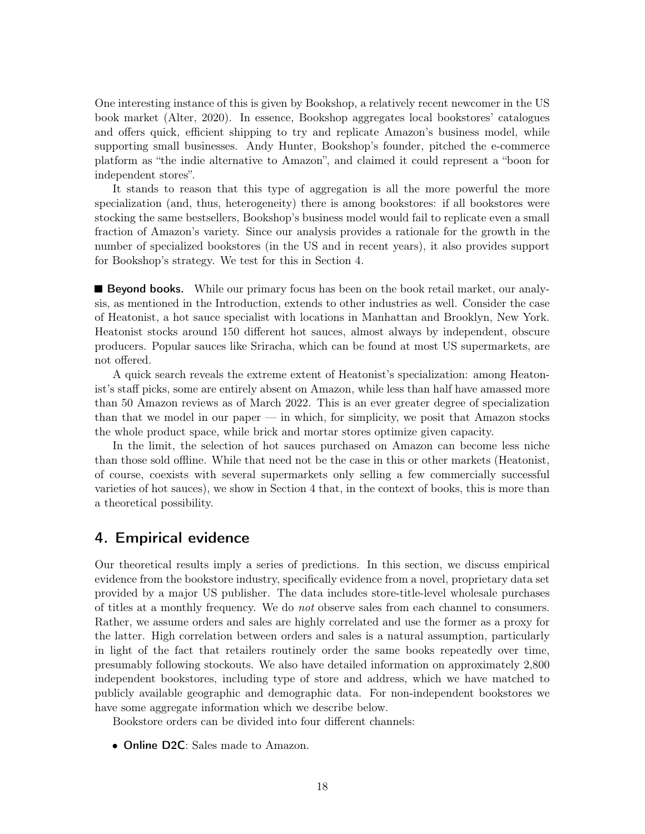One interesting instance of this is given by Bookshop, a relatively recent newcomer in the US book market [\(Alter, 2020\)](#page-36-15). In essence, Bookshop aggregates local bookstores' catalogues and offers quick, efficient shipping to try and replicate Amazon's business model, while supporting small businesses. Andy Hunter, Bookshop's founder, pitched the e-commerce platform as "the indie alternative to Amazon", and claimed it could represent a "boon for independent stores".

It stands to reason that this type of aggregation is all the more powerful the more specialization (and, thus, heterogeneity) there is among bookstores: if all bookstores were stocking the same bestsellers, Bookshop's business model would fail to replicate even a small fraction of Amazon's variety. Since our analysis provides a rationale for the growth in the number of specialized bookstores (in the US and in recent years), it also provides support for Bookshop's strategy. We test for this in Section [4.](#page-18-0)

**Beyond books.** While our primary focus has been on the book retail market, our analysis, as mentioned in the Introduction, extends to other industries as well. Consider the case of Heatonist, a hot sauce specialist with locations in Manhattan and Brooklyn, New York. Heatonist stocks around 150 different hot sauces, almost always by independent, obscure producers. Popular sauces like Sriracha, which can be found at most US supermarkets, are not offered.

A quick search reveals the extreme extent of Heatonist's specialization: among Heatonist's staff picks, some are entirely absent on Amazon, while less than half have amassed more than 50 Amazon reviews as of March 2022. This is an ever greater degree of specialization than that we model in our paper — in which, for simplicity, we posit that Amazon stocks the whole product space, while brick and mortar stores optimize given capacity.

In the limit, the selection of hot sauces purchased on Amazon can become less niche than those sold offline. While that need not be the case in this or other markets (Heatonist, of course, coexists with several supermarkets only selling a few commercially successful varieties of hot sauces), we show in Section [4](#page-18-0) that, in the context of books, this is more than a theoretical possibility.

### <span id="page-18-0"></span>4. Empirical evidence

Our theoretical results imply a series of predictions. In this section, we discuss empirical evidence from the bookstore industry, specifically evidence from a novel, proprietary data set provided by a major US publisher. The data includes store-title-level wholesale purchases of titles at a monthly frequency. We do not observe sales from each channel to consumers. Rather, we assume orders and sales are highly correlated and use the former as a proxy for the latter. High correlation between orders and sales is a natural assumption, particularly in light of the fact that retailers routinely order the same books repeatedly over time, presumably following stockouts. We also have detailed information on approximately 2,800 independent bookstores, including type of store and address, which we have matched to publicly available geographic and demographic data. For non-independent bookstores we have some aggregate information which we describe below.

Bookstore orders can be divided into four different channels:

• Online D2C: Sales made to Amazon.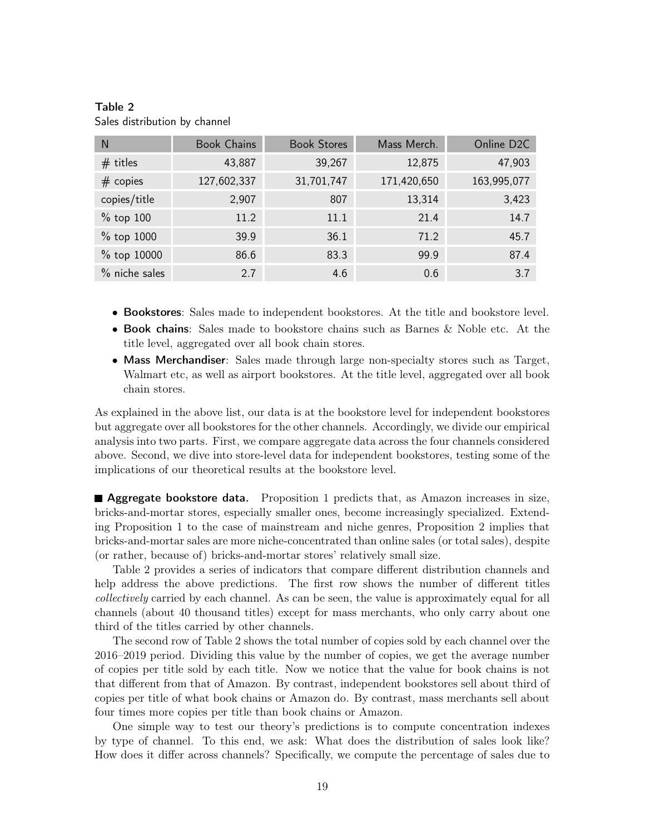| N             | <b>Book Chains</b> | <b>Book Stores</b> | Mass Merch. | Online D <sub>2C</sub> |
|---------------|--------------------|--------------------|-------------|------------------------|
| $#$ titles    | 43,887             | 39,267             | 12,875      | 47,903                 |
| $#$ copies    | 127,602,337        | 31,701,747         | 171,420,650 | 163,995,077            |
| copies/title  | 2,907              | 807                | 13,314      | 3,423                  |
| $%$ top 100   | 11.2               | 11.1               | 21.4        | 14.7                   |
| % top 1000    | 39.9               | 36.1               | 71.2        | 45.7                   |
| % top 10000   | 86.6               | 83.3               | 99.9        | 87.4                   |
| % niche sales | 2.7                | 4.6                | 0.6         | 3.7                    |

<span id="page-19-0"></span>Table 2 Sales distribution by channel

- Bookstores: Sales made to independent bookstores. At the title and bookstore level.
- Book chains: Sales made to bookstore chains such as Barnes & Noble etc. At the title level, aggregated over all book chain stores.
- Mass Merchandiser: Sales made through large non-specialty stores such as Target, Walmart etc, as well as airport bookstores. At the title level, aggregated over all book chain stores.

As explained in the above list, our data is at the bookstore level for independent bookstores but aggregate over all bookstores for the other channels. Accordingly, we divide our empirical analysis into two parts. First, we compare aggregate data across the four channels considered above. Second, we dive into store-level data for independent bookstores, testing some of the implications of our theoretical results at the bookstore level.

**Aggregate bookstore data.** Proposition [1](#page-5-0) predicts that, as Amazon increases in size, bricks-and-mortar stores, especially smaller ones, become increasingly specialized. Extending Proposition [1](#page-5-0) to the case of mainstream and niche genres, Proposition [2](#page-7-1) implies that bricks-and-mortar sales are more niche-concentrated than online sales (or total sales), despite (or rather, because of) bricks-and-mortar stores' relatively small size.

Table [2](#page-19-0) provides a series of indicators that compare different distribution channels and help address the above predictions. The first row shows the number of different titles collectively carried by each channel. As can be seen, the value is approximately equal for all channels (about 40 thousand titles) except for mass merchants, who only carry about one third of the titles carried by other channels.

The second row of Table [2](#page-19-0) shows the total number of copies sold by each channel over the 2016–2019 period. Dividing this value by the number of copies, we get the average number of copies per title sold by each title. Now we notice that the value for book chains is not that different from that of Amazon. By contrast, independent bookstores sell about third of copies per title of what book chains or Amazon do. By contrast, mass merchants sell about four times more copies per title than book chains or Amazon.

One simple way to test our theory's predictions is to compute concentration indexes by type of channel. To this end, we ask: What does the distribution of sales look like? How does it differ across channels? Specifically, we compute the percentage of sales due to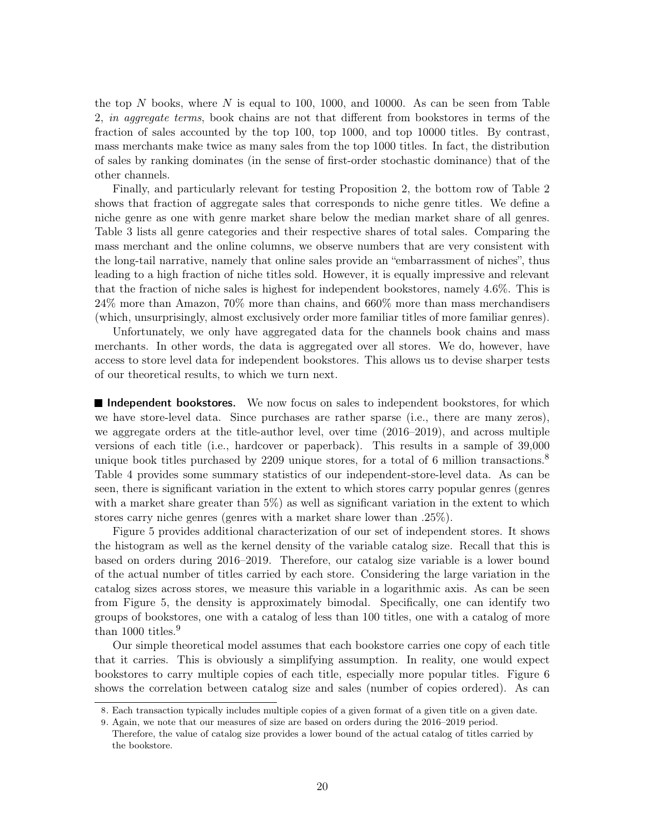the top  $N$  books, where  $N$  is equal to 100, 1000, and 10000. As can be seen from Table [2,](#page-19-0) in aggregate terms, book chains are not that different from bookstores in terms of the fraction of sales accounted by the top 100, top 1000, and top 10000 titles. By contrast, mass merchants make twice as many sales from the top 1000 titles. In fact, the distribution of sales by ranking dominates (in the sense of first-order stochastic dominance) that of the other channels.

Finally, and particularly relevant for testing Proposition [2,](#page-7-1) the bottom row of Table [2](#page-19-0) shows that fraction of aggregate sales that corresponds to niche genre titles. We define a niche genre as one with genre market share below the median market share of all genres. Table [3](#page-21-0) lists all genre categories and their respective shares of total sales. Comparing the mass merchant and the online columns, we observe numbers that are very consistent with the long-tail narrative, namely that online sales provide an "embarrassment of niches", thus leading to a high fraction of niche titles sold. However, it is equally impressive and relevant that the fraction of niche sales is highest for independent bookstores, namely 4.6%. This is 24% more than Amazon, 70% more than chains, and 660% more than mass merchandisers (which, unsurprisingly, almost exclusively order more familiar titles of more familiar genres).

Unfortunately, we only have aggregated data for the channels book chains and mass merchants. In other words, the data is aggregated over all stores. We do, however, have access to store level data for independent bookstores. This allows us to devise sharper tests of our theoretical results, to which we turn next.

**Independent bookstores.** We now focus on sales to independent bookstores, for which we have store-level data. Since purchases are rather sparse (i.e., there are many zeros), we aggregate orders at the title-author level, over time (2016–2019), and across multiple versions of each title (i.e., hardcover or paperback). This results in a sample of 39,000 unique book titles purchased by 2209 unique stores, for a total of 6 million transactions.<sup>[8](#page-0-0)</sup> Table [4](#page-22-0) provides some summary statistics of our independent-store-level data. As can be seen, there is significant variation in the extent to which stores carry popular genres (genres with a market share greater than 5%) as well as significant variation in the extent to which stores carry niche genres (genres with a market share lower than .25%).

Figure [5](#page-22-1) provides additional characterization of our set of independent stores. It shows the histogram as well as the kernel density of the variable catalog size. Recall that this is based on orders during 2016–2019. Therefore, our catalog size variable is a lower bound of the actual number of titles carried by each store. Considering the large variation in the catalog sizes across stores, we measure this variable in a logarithmic axis. As can be seen from Figure [5,](#page-22-1) the density is approximately bimodal. Specifically, one can identify two groups of bookstores, one with a catalog of less than 100 titles, one with a catalog of more than 1000 titles.<sup>[9](#page-0-0)</sup>

Our simple theoretical model assumes that each bookstore carries one copy of each title that it carries. This is obviously a simplifying assumption. In reality, one would expect bookstores to carry multiple copies of each title, especially more popular titles. Figure [6](#page-22-2) shows the correlation between catalog size and sales (number of copies ordered). As can

<sup>8</sup>. Each transaction typically includes multiple copies of a given format of a given title on a given date.

<sup>9</sup>. Again, we note that our measures of size are based on orders during the 2016–2019 period.

Therefore, the value of catalog size provides a lower bound of the actual catalog of titles carried by the bookstore.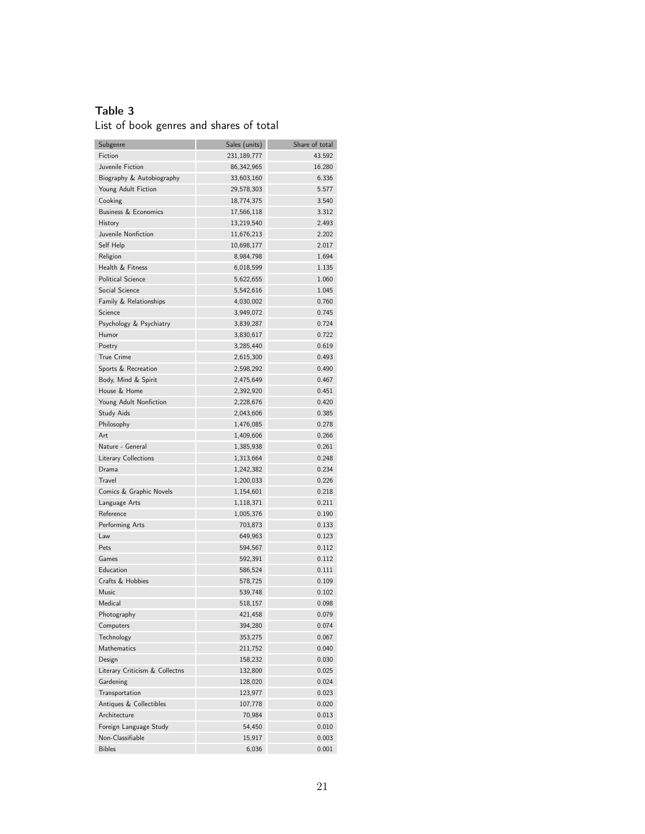### Table 3

<span id="page-21-0"></span>List of book genres and shares of total

| Subgenre                       | Sales (units) | Share of total |
|--------------------------------|---------------|----------------|
| Fiction                        | 231,189,777   | 43.592         |
| Juvenile Fiction               | 86,342,965    | 16.280         |
| Biography & Autobiography      | 33,603,160    | 6.336          |
| Young Adult Fiction            | 29,578,303    | 5.577          |
| Cooking                        | 18,774,375    | 3.540          |
| Business & Economics           | 17,566,118    | 3.312          |
| History                        | 13,219,540    | 2.493          |
| Juvenile Nonfiction            | 11,676,213    | 2.202          |
| Self Help                      | 10,698,177    | 2.017          |
| Religion                       | 8,984,798     | 1.694          |
| Health & Fitness               | 6,018,599     | 1.135          |
| <b>Political Science</b>       | 5,622,655     | 1.060          |
| Social Science                 | 5,542,616     | 1.045          |
| Family & Relationships         | 4,030,002     | 0.760          |
| Science                        | 3,949,072     | 0.745          |
| Psychology & Psychiatry        | 3,839,287     | 0.724          |
| Humor                          | 3,830,617     | 0.722          |
| Poetry                         | 3,285,440     | 0.619          |
| True Crime                     | 2,615,300     |                |
|                                | 2,598,292     | 0.493          |
| Sports & Recreation            |               | 0.490          |
| Body, Mind & Spirit            | 2,475,649     | 0.467          |
| House & Home                   | 2,392,920     | 0.451          |
| Young Adult Nonfiction         | 2,228,676     | 0.420          |
| <b>Study Aids</b>              | 2,043,606     | 0.385          |
| Philosophy                     | 1,476,085     | 0.278          |
| Art                            | 1,409,606     | 0.266          |
| Nature - General               | 1,385,938     | 0.261          |
| Literary Collections           | 1,313,664     | 0.248          |
| Drama                          | 1,242,382     | 0.234          |
| Travel                         | 1,200,033     | 0.226          |
| Comics & Graphic Novels        | 1,154,601     | 0.218          |
| Language Arts                  | 1,118,371     | 0.211          |
| Reference                      | 1,005,376     | 0.190          |
| Performing Arts                | 703,873       | 0.133          |
| Law                            | 649,963       | 0.123          |
| Pets                           | 594,567       | 0.112          |
| Games                          | 592,391       | 0.112          |
| Education                      | 586,524       | 0.111          |
| Crafts & Hobbies               | 578,725       | 0.109          |
| Music                          | 539,748       | 0.102          |
| Medical                        | 518,157       | 0.098          |
| Photography                    | 421,458       | 0.079          |
| Computers                      | 394,280       | 0.074          |
| Technology                     | 353,275       | 0.067          |
| Mathematics                    | 211,752       | 0.040          |
| Design                         | 158,232       | 0.030          |
| Literary Criticism & Collectns | 132,800       | 0.025          |
| Gardening                      | 128,020       | 0.024          |
| Transportation                 | 123,977       | 0.023          |
| Antiques & Collectibles        | 107,778       | 0.020          |
| Architecture                   | 70,984        | 0.013          |
| Foreign Language Study         | 54,450        | 0.010          |
| Non-Classifiable               | 15,917        |                |
|                                |               | 0.003          |
| <b>Bibles</b>                  | 6,036         | 0.001          |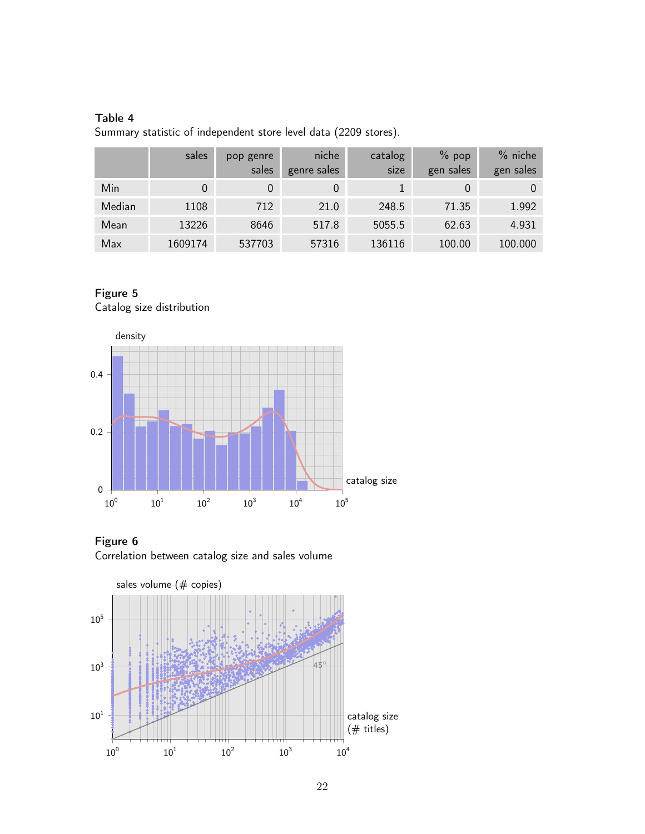### Table 4

<span id="page-22-0"></span>Summary statistic of independent store level data (2209 stores).

|        | sales   | pop genre<br>sales | niche<br>genre sales | catalog<br>size | $%$ pop<br>gen sales | $%$ niche<br>gen sales |
|--------|---------|--------------------|----------------------|-----------------|----------------------|------------------------|
| Min    |         |                    |                      |                 |                      |                        |
| Median | 1108    | 712                | 21.0                 | 248.5           | 71.35                | 1.992                  |
| Mean   | 13226   | 8646               | 517.8                | 5055.5          | 62.63                | 4.931                  |
| Max    | 1609174 | 537703             | 57316                | 136116          | 100.00               | 100.000                |

# <span id="page-22-1"></span>Figure 5 Catalog size distribution



<span id="page-22-2"></span>

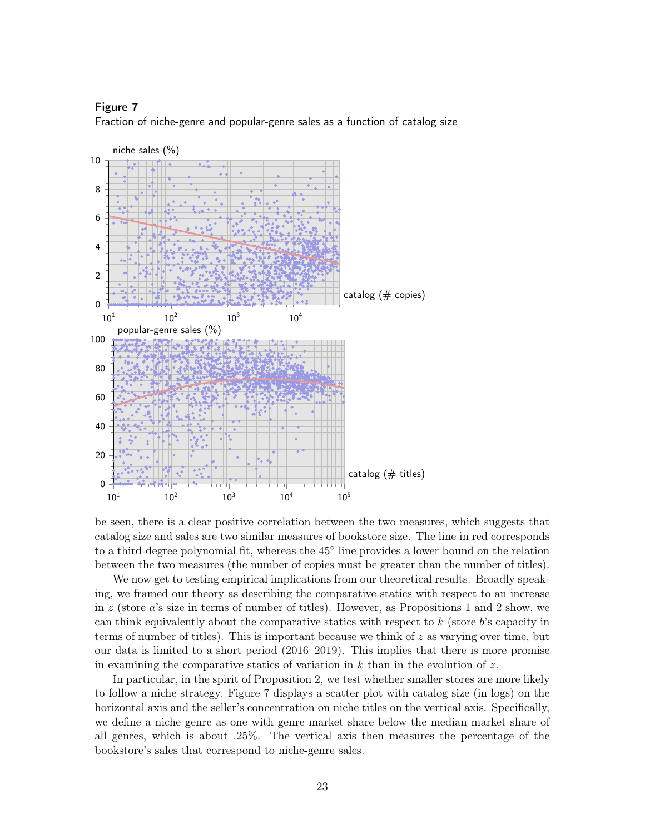<span id="page-23-0"></span>



be seen, there is a clear positive correlation between the two measures, which suggests that catalog size and sales are two similar measures of bookstore size. The line in red corresponds to a third-degree polynomial fit, whereas the 45◦ line provides a lower bound on the relation between the two measures (the number of copies must be greater than the number of titles).

We now get to testing empirical implications from our theoretical results. Broadly speaking, we framed our theory as describing the comparative statics with respect to an increase in  $z$  (store  $a$ 's size in terms of number of titles). However, as Propositions [1](#page-5-0) and [2](#page-7-1) show, we can think equivalently about the comparative statics with respect to  $k$  (store  $b$ 's capacity in terms of number of titles). This is important because we think of  $z$  as varying over time, but our data is limited to a short period (2016–2019). This implies that there is more promise in examining the comparative statics of variation in  $k$  than in the evolution of  $z$ .

In particular, in the spirit of Proposition [2,](#page-7-1) we test whether smaller stores are more likely to follow a niche strategy. Figure [7](#page-23-0) displays a scatter plot with catalog size (in logs) on the horizontal axis and the seller's concentration on niche titles on the vertical axis. Specifically, we define a niche genre as one with genre market share below the median market share of all genres, which is about .25%. The vertical axis then measures the percentage of the bookstore's sales that correspond to niche-genre sales.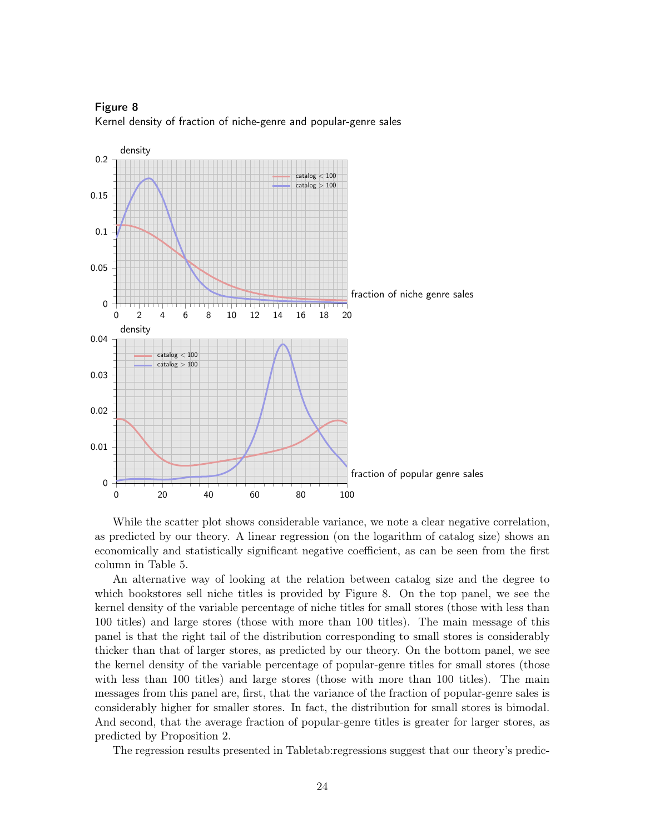

<span id="page-24-0"></span>Figure 8 Kernel density of fraction of niche-genre and popular-genre sales

While the scatter plot shows considerable variance, we note a clear negative correlation, as predicted by our theory. A linear regression (on the logarithm of catalog size) shows an economically and statistically significant negative coefficient, as can be seen from the first column in Table [5.](#page-25-0)

An alternative way of looking at the relation between catalog size and the degree to which bookstores sell niche titles is provided by Figure [8.](#page-24-0) On the top panel, we see the kernel density of the variable percentage of niche titles for small stores (those with less than 100 titles) and large stores (those with more than 100 titles). The main message of this panel is that the right tail of the distribution corresponding to small stores is considerably thicker than that of larger stores, as predicted by our theory. On the bottom panel, we see the kernel density of the variable percentage of popular-genre titles for small stores (those with less than 100 titles) and large stores (those with more than 100 titles). The main messages from this panel are, first, that the variance of the fraction of popular-genre sales is considerably higher for smaller stores. In fact, the distribution for small stores is bimodal. And second, that the average fraction of popular-genre titles is greater for larger stores, as predicted by Proposition [2.](#page-7-1)

The regression results presented in Tabletab:regressions suggest that our theory's predic-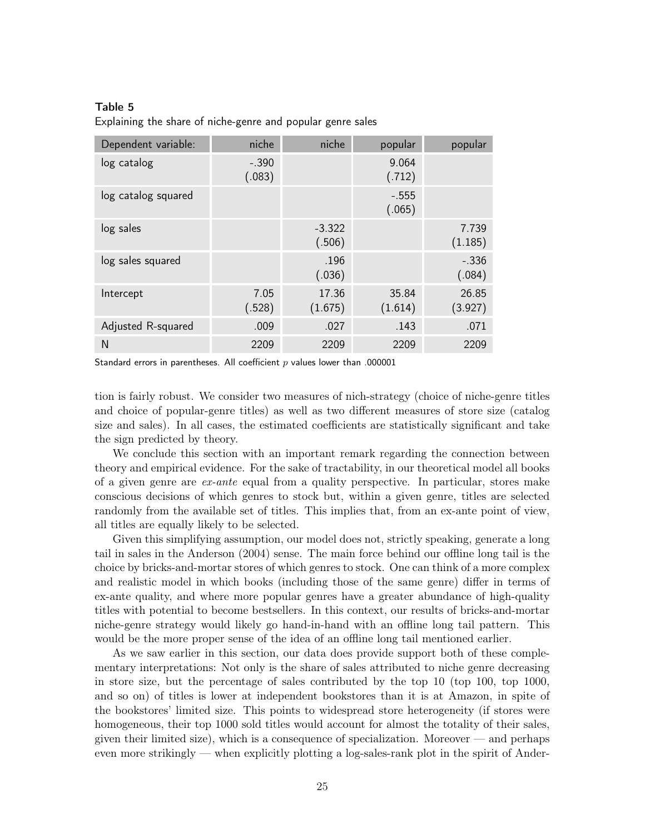#### Table 5

<span id="page-25-0"></span>Explaining the share of niche-genre and popular genre sales

| Dependent variable: | niche             | niche              | popular           | popular           |
|---------------------|-------------------|--------------------|-------------------|-------------------|
| log catalog         | $-.390$<br>(.083) |                    | 9.064<br>(.712)   |                   |
| log catalog squared |                   |                    | $-.555$<br>(.065) |                   |
| log sales           |                   | $-3.322$<br>(.506) |                   | 7.739<br>(1.185)  |
| log sales squared   |                   | .196<br>(.036)     |                   | $-.336$<br>(.084) |
| Intercept           | 7.05<br>(.528)    | 17.36<br>(1.675)   | 35.84<br>(1.614)  | 26.85<br>(3.927)  |
| Adjusted R-squared  | .009              | .027               | .143              | .071              |
| N                   | 2209              | 2209               | 2209              | 2209              |

Standard errors in parentheses. All coefficient  $p$  values lower than .000001

tion is fairly robust. We consider two measures of nich-strategy (choice of niche-genre titles and choice of popular-genre titles) as well as two different measures of store size (catalog size and sales). In all cases, the estimated coefficients are statistically significant and take the sign predicted by theory.

We conclude this section with an important remark regarding the connection between theory and empirical evidence. For the sake of tractability, in our theoretical model all books of a given genre are  $ex$ -ante equal from a quality perspective. In particular, stores make conscious decisions of which genres to stock but, within a given genre, titles are selected randomly from the available set of titles. This implies that, from an ex-ante point of view, all titles are equally likely to be selected.

Given this simplifying assumption, our model does not, strictly speaking, generate a long tail in sales in the [Anderson](#page-36-3) [\(2004\)](#page-36-3) sense. The main force behind our offline long tail is the choice by bricks-and-mortar stores of which genres to stock. One can think of a more complex and realistic model in which books (including those of the same genre) differ in terms of ex-ante quality, and where more popular genres have a greater abundance of high-quality titles with potential to become bestsellers. In this context, our results of bricks-and-mortar niche-genre strategy would likely go hand-in-hand with an offline long tail pattern. This would be the more proper sense of the idea of an offline long tail mentioned earlier.

As we saw earlier in this section, our data does provide support both of these complementary interpretations: Not only is the share of sales attributed to niche genre decreasing in store size, but the percentage of sales contributed by the top 10 (top 100, top 1000, and so on) of titles is lower at independent bookstores than it is at Amazon, in spite of the bookstores' limited size. This points to widespread store heterogeneity (if stores were homogeneous, their top 1000 sold titles would account for almost the totality of their sales, given their limited size), which is a consequence of specialization. Moreover — and perhaps even more strikingly — when explicitly plotting a log-sales-rank plot in the spirit of [Ander-](#page-36-3)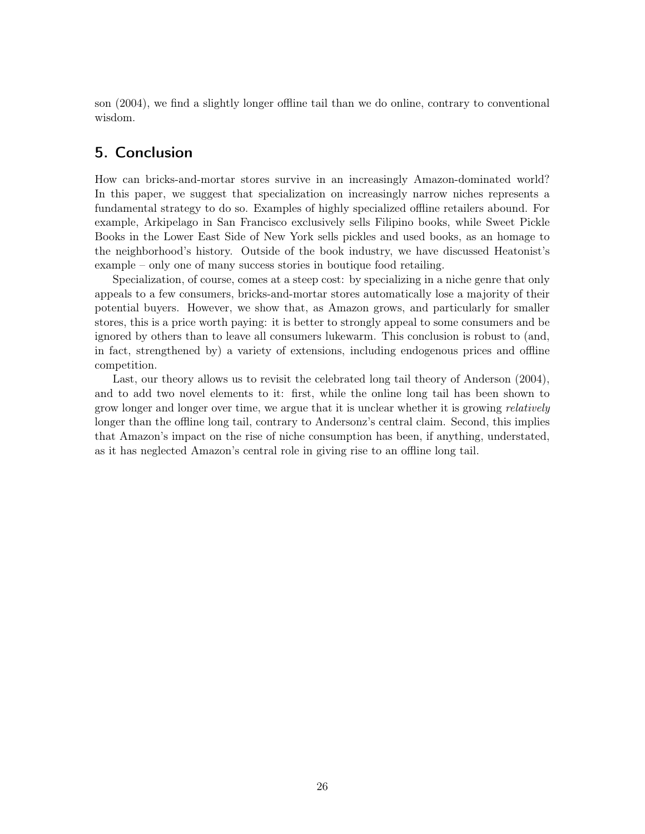[son](#page-36-3) [\(2004\)](#page-36-3), we find a slightly longer offline tail than we do online, contrary to conventional wisdom.

## <span id="page-26-0"></span>5. Conclusion

How can bricks-and-mortar stores survive in an increasingly Amazon-dominated world? In this paper, we suggest that specialization on increasingly narrow niches represents a fundamental strategy to do so. Examples of highly specialized offline retailers abound. For example, Arkipelago in San Francisco exclusively sells Filipino books, while Sweet Pickle Books in the Lower East Side of New York sells pickles and used books, as an homage to the neighborhood's history. Outside of the book industry, we have discussed Heatonist's example – only one of many success stories in boutique food retailing.

Specialization, of course, comes at a steep cost: by specializing in a niche genre that only appeals to a few consumers, bricks-and-mortar stores automatically lose a majority of their potential buyers. However, we show that, as Amazon grows, and particularly for smaller stores, this is a price worth paying: it is better to strongly appeal to some consumers and be ignored by others than to leave all consumers lukewarm. This conclusion is robust to (and, in fact, strengthened by) a variety of extensions, including endogenous prices and offline competition.

Last, our theory allows us to revisit the celebrated long tail theory of [Anderson](#page-36-3) [\(2004\)](#page-36-3), and to add two novel elements to it: first, while the online long tail has been shown to grow longer and longer over time, we argue that it is unclear whether it is growing *relatively* longer than the offline long tail, contrary to Andersonz's central claim. Second, this implies that Amazon's impact on the rise of niche consumption has been, if anything, understated, as it has neglected Amazon's central role in giving rise to an offline long tail.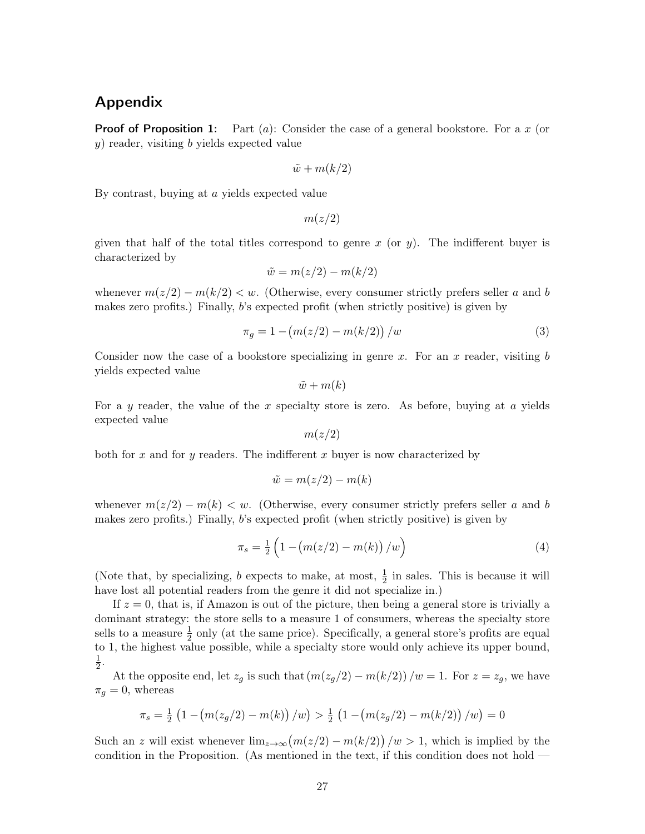# Appendix

**Proof of Proposition [1:](#page-5-0)** Part (a): Consider the case of a general bookstore. For a x (or  $y$ ) reader, visiting b yields expected value

$$
\tilde{w} + m(k/2)
$$

By contrast, buying at a yields expected value

 $m(z/2)$ 

given that half of the total titles correspond to genre x (or y). The indifferent buyer is characterized by

$$
\tilde{w} = m(z/2) - m(k/2)
$$

whenever  $m(z/2) - m(k/2) < w$ . (Otherwise, every consumer strictly prefers seller a and b makes zero profits.) Finally, b's expected profit (when strictly positive) is given by

<span id="page-27-0"></span>
$$
\pi_g = 1 - \left( m(z/2) - m(k/2) \right) / w \tag{3}
$$

Consider now the case of a bookstore specializing in genre x. For an x reader, visiting  $b$ yields expected value

$$
\tilde{w} + m(k)
$$

For a y reader, the value of the x specialty store is zero. As before, buying at  $\alpha$  yields expected value

 $m(z/2)$ 

both for x and for y readers. The indifferent x buyer is now characterized by

$$
\tilde{w} = m(z/2) - m(k)
$$

whenever  $m(z/2) - m(k) < w$ . (Otherwise, every consumer strictly prefers seller a and b makes zero profits.) Finally, b's expected profit (when strictly positive) is given by

<span id="page-27-1"></span>
$$
\pi_s = \frac{1}{2} \left( 1 - \left( m(z/2) - m(k) \right) / w \right) \tag{4}
$$

(Note that, by specializing, b expects to make, at most,  $\frac{1}{2}$  in sales. This is because it will have lost all potential readers from the genre it did not specialize in.)

If  $z = 0$ , that is, if Amazon is out of the picture, then being a general store is trivially a dominant strategy: the store sells to a measure 1 of consumers, whereas the specialty store sells to a measure  $\frac{1}{2}$  only (at the same price). Specifically, a general store's profits are equal to 1, the highest value possible, while a specialty store would only achieve its upper bound, 1  $\frac{1}{2}$ .

At the opposite end, let  $z_g$  is such that  $\left(m(z_g/2) - m(k/2)\right)/w = 1$ . For  $z = z_g$ , we have  $\pi_q = 0$ , whereas

$$
\pi_s = \frac{1}{2} \left( 1 - \left( m(z_g/2) - m(k) \right) / w \right) > \frac{1}{2} \left( 1 - \left( m(z_g/2) - m(k/2) \right) / w \right) = 0
$$

Such an z will exist whenever  $\lim_{z\to\infty} (m(z/2) - m(k/2)) / w > 1$ , which is implied by the condition in the Proposition. (As mentioned in the text, if this condition does not hold —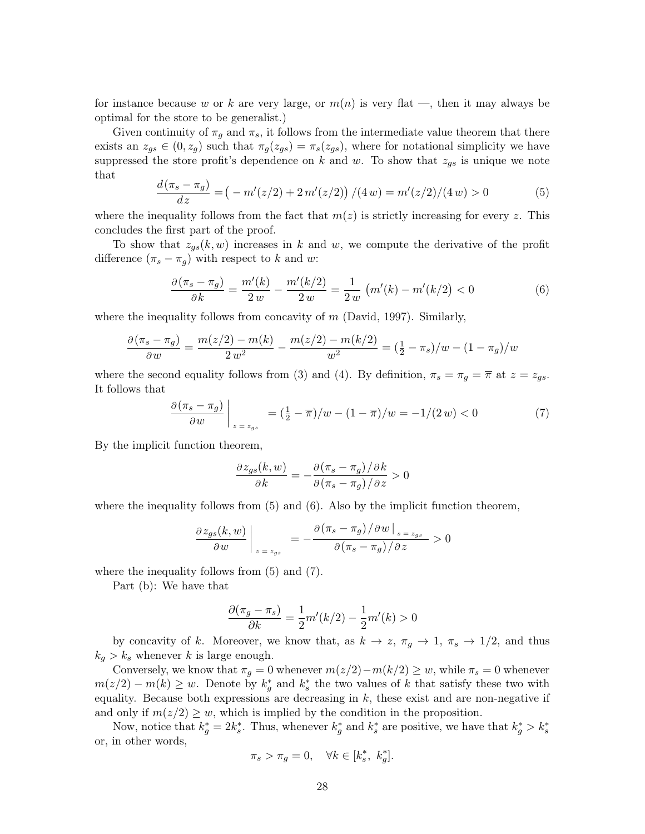for instance because w or k are very large, or  $m(n)$  is very flat —, then it may always be optimal for the store to be generalist.)

Given continuity of  $\pi_g$  and  $\pi_s$ , it follows from the intermediate value theorem that there exists an  $z_{gs} \in (0, z_g)$  such that  $\pi_g(z_{gs}) = \pi_s(z_{gs})$ , where for notational simplicity we have suppressed the store profit's dependence on k and w. To show that  $z_{gs}$  is unique we note that

<span id="page-28-0"></span>
$$
\frac{d(\pi_s - \pi_g)}{dz} = \left(-\frac{m'(z/2) + 2m'(z/2)}{4w}\right) / (4w) = m'(z/2) / (4w) > 0\tag{5}
$$

where the inequality follows from the fact that  $m(z)$  is strictly increasing for every z. This concludes the first part of the proof.

To show that  $z_{qs}(k, w)$  increases in k and w, we compute the derivative of the profit difference  $(\pi_s - \pi_q)$  with respect to k and w:

<span id="page-28-1"></span>
$$
\frac{\partial(\pi_s - \pi_g)}{\partial k} = \frac{m'(k)}{2w} - \frac{m'(k/2)}{2w} = \frac{1}{2w} \left( m'(k) - m'(k/2) < 0 \right) \tag{6}
$$

where the inequality follows from concavity of  $m$  [\(David, 1997\)](#page-36-16). Similarly,

$$
\frac{\partial (\pi_s - \pi_g)}{\partial w} = \frac{m(z/2) - m(k)}{2 w^2} - \frac{m(z/2) - m(k/2)}{w^2} = (\frac{1}{2} - \pi_s)/w - (1 - \pi_g)/w
$$

where the second equality follows from [\(3\)](#page-27-0) and [\(4\)](#page-27-1). By definition,  $\pi_s = \pi_g = \overline{\pi}$  at  $z = z_{gs}$ . It follows that

<span id="page-28-2"></span>
$$
\frac{\partial (\pi_s - \pi_g)}{\partial w}\bigg|_{z=z_{gs}} = \left(\frac{1}{2} - \overline{\pi}\right)/w - (1 - \overline{\pi})/w = -1/(2w) < 0 \tag{7}
$$

By the implicit function theorem,

$$
\frac{\partial z_{gs}(k, w)}{\partial k} = -\frac{\partial (\pi_s - \pi_g)/\partial k}{\partial (\pi_s - \pi_g)/\partial z} > 0
$$

where the inequality follows from  $(5)$  and  $(6)$ . Also by the implicit function theorem,

$$
\frac{\partial z_{gs}(k, w)}{\partial w}\bigg|_{z=z_{gs}} = -\frac{\partial (\pi_s - \pi_g)/\partial w|_{s=z_{gs}}}{\partial (\pi_s - \pi_g)/\partial z} > 0
$$

where the inequality follows from [\(5\)](#page-28-0) and [\(7\)](#page-28-2).

Part (b): We have that

$$
\frac{\partial(\pi_g - \pi_s)}{\partial k} = \frac{1}{2}m'(k/2) - \frac{1}{2}m'(k) > 0
$$

by concavity of k. Moreover, we know that, as  $k \to z$ ,  $\pi_g \to 1$ ,  $\pi_s \to 1/2$ , and thus  $k_q > k_s$  whenever k is large enough.

Conversely, we know that  $\pi_g = 0$  whenever  $m(z/2) - m(k/2) \geq w$ , while  $\pi_s = 0$  whenever  $m(z/2) - m(k) \geq w$ . Denote by  $k_g^*$  and  $k_s^*$  the two values of k that satisfy these two with equality. Because both expressions are decreasing in  $k$ , these exist and are non-negative if and only if  $m(z/2) \geq w$ , which is implied by the condition in the proposition.

Now, notice that  $k_g^* = 2k_s^*$ . Thus, whenever  $k_g^*$  and  $k_s^*$  are positive, we have that  $k_g^* > k_s^*$ or, in other words,

$$
\pi_s > \pi_g = 0, \quad \forall k \in [k_s^*, k_g^*].
$$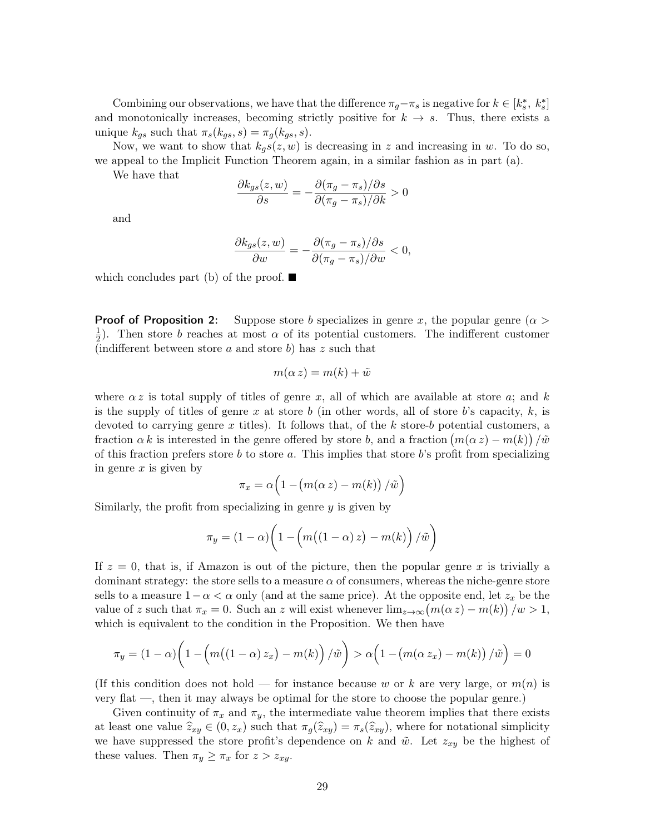Combining our observations, we have that the difference  $\pi_g - \pi_s$  is negative for  $k \in [k_s^*, k_s^*]$ and monotonically increases, becoming strictly positive for  $k \to s$ . Thus, there exists a unique  $k_{gs}$  such that  $\pi_s(k_{gs}, s) = \pi_g(k_{gs}, s)$ .

Now, we want to show that  $k_g s(z, w)$  is decreasing in z and increasing in w. To do so, we appeal to the Implicit Function Theorem again, in a similar fashion as in part (a).

We have that

$$
\frac{\partial k_{gs}(z,w)}{\partial s} = -\frac{\partial (\pi_g - \pi_s)/\partial s}{\partial (\pi_g - \pi_s)/\partial k} > 0
$$

and

$$
\frac{\partial k_{gs}(z,w)}{\partial w} = -\frac{\partial (\pi_g - \pi_s)/\partial s}{\partial (\pi_g - \pi_s)/\partial w} < 0,
$$

which concludes part (b) of the proof.  $\blacksquare$ 

**Proof of Proposition [2:](#page-7-1)** Suppose store b specializes in genre x, the popular genre ( $\alpha$ ) 1  $\frac{1}{2}$ ). Then store b reaches at most  $\alpha$  of its potential customers. The indifferent customer (indifferent between store a and store b) has  $z$  such that

$$
m(\alpha z) = m(k) + \tilde{w}
$$

where  $\alpha z$  is total supply of titles of genre x, all of which are available at store a; and k is the supply of titles of genre x at store b (in other words, all of store b's capacity,  $k$ , is devoted to carrying genre x titles). It follows that, of the  $k$  store-b potential customers, a fraction  $\alpha k$  is interested in the genre offered by store b, and a fraction  $(m(\alpha z) - m(k)) / \tilde{w}$ of this fraction prefers store b to store a. This implies that store  $b$ 's profit from specializing in genre  $x$  is given by

$$
\pi_x = \alpha \Big( 1 - \big( m(\alpha \, z) - m(k) \big) \, / \tilde{w} \Big)
$$

Similarly, the profit from specializing in genre  $y$  is given by

$$
\pi_y = (1 - \alpha) \bigg( 1 - \bigg( m \big( (1 - \alpha) z \big) - m(k) \bigg) / \tilde{w} \bigg)
$$

If  $z = 0$ , that is, if Amazon is out of the picture, then the popular genre x is trivially a dominant strategy: the store sells to a measure  $\alpha$  of consumers, whereas the niche-genre store sells to a measure  $1-\alpha < \alpha$  only (and at the same price). At the opposite end, let  $z_x$  be the value of z such that  $\pi_x = 0$ . Such an z will exist whenever  $\lim_{z \to \infty} (m(\alpha z) - m(k)) / w > 1$ , which is equivalent to the condition in the Proposition. We then have

$$
\pi_y = (1 - \alpha) \left( 1 - \left( m \left( (1 - \alpha) z_x \right) - m(k) \right) / \tilde{w} \right) > \alpha \left( 1 - \left( m(\alpha z_x) - m(k) \right) / \tilde{w} \right) = 0
$$

(If this condition does not hold – for instance because w or k are very large, or  $m(n)$  is very flat —, then it may always be optimal for the store to choose the popular genre.)

Given continuity of  $\pi_x$  and  $\pi_y$ , the intermediate value theorem implies that there exists at least one value  $\widehat{z}_{xy} \in (0, z_x)$  such that  $\pi_g(\widehat{z}_{xy}) = \pi_s(\widehat{z}_{xy})$ , where for notational simplicity we have suppressed the store profit's dependence on k and  $\tilde{w}$ . Let  $z_{xy}$  be the highest of these values. Then  $\pi_y \geq \pi_x$  for  $z > z_{xy}$ .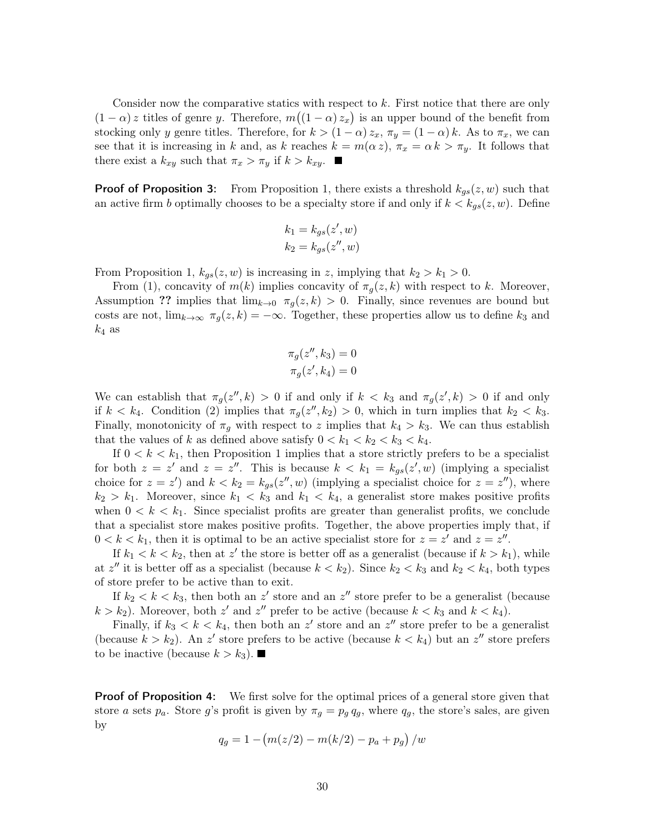Consider now the comparative statics with respect to k. First notice that there are only  $(1 - \alpha)$  z titles of genre y. Therefore,  $m((1 - \alpha) z_x)$  is an upper bound of the benefit from stocking only y genre titles. Therefore, for  $k > (1 - \alpha) z_x$ ,  $\pi_y = (1 - \alpha) k$ . As to  $\pi_x$ , we can see that it is increasing in k and, as k reaches  $k = m(\alpha z)$ ,  $\pi_x = \alpha k > \pi_y$ . It follows that there exist a  $k_{xy}$  such that  $\pi_x > \pi_y$  if  $k > k_{xy}$ .

**Proof of Proposition [3:](#page-9-1)** From Proposition [1,](#page-5-0) there exists a threshold  $k_{gs}(z, w)$  such that an active firm b optimally chooses to be a specialty store if and only if  $k < k_{gs}(z, w)$ . Define

$$
k_1 = k_{gs}(z', w)
$$
  

$$
k_2 = k_{gs}(z'', w)
$$

From Proposition [1,](#page-5-0)  $k_{gs}(z, w)$  is increasing in z, implying that  $k_2 > k_1 > 0$ .

From [\(1\)](#page-9-0), concavity of  $m(k)$  implies concavity of  $\pi_g(z, k)$  with respect to k. Moreover, Assumption ?? implies that  $\lim_{k\to 0} \pi_q(z,k) > 0$ . Finally, since revenues are bound but costs are not,  $\lim_{k\to\infty} \pi_g(z,k) = -\infty$ . Together, these properties allow us to define  $k_3$  and  $k_4$  as

$$
\pi_g(z'', k_3) = 0
$$
  

$$
\pi_g(z', k_4) = 0
$$

We can establish that  $\pi_g(z'', k) > 0$  if and only if  $k < k_3$  and  $\pi_g(z', k) > 0$  if and only if  $k < k_4$ . Condition [\(2\)](#page-9-2) implies that  $\pi_g(z'', k_2) > 0$ , which in turn implies that  $k_2 < k_3$ . Finally, monotonicity of  $\pi_q$  with respect to z implies that  $k_4 > k_3$ . We can thus establish that the values of k as defined above satisfy  $0 < k_1 < k_2 < k_3 < k_4$ .

If  $0 < k < k_1$ , then Proposition [1](#page-5-0) implies that a store strictly prefers to be a specialist for both  $z = z'$  and  $z = z''$ . This is because  $k < k_1 = k_{gs}(z', w)$  (implying a specialist choice for  $z = z'$ ) and  $k < k_2 = k_{gs}(z'', w)$  (implying a specialist choice for  $z = z''$ ), where  $k_2 > k_1$ . Moreover, since  $k_1 < k_3$  and  $k_1 < k_4$ , a generalist store makes positive profits when  $0 \leq k \leq k_1$ . Since specialist profits are greater than generalist profits, we conclude that a specialist store makes positive profits. Together, the above properties imply that, if  $0 < k < k_1$ , then it is optimal to be an active specialist store for  $z = z'$  and  $z = z''$ .

If  $k_1 < k < k_2$ , then at z' the store is better off as a generalist (because if  $k > k_1$ ), while at  $z''$  it is better off as a specialist (because  $k < k_2$ ). Since  $k_2 < k_3$  and  $k_2 < k_4$ , both types of store prefer to be active than to exit.

If  $k_2 < k < k_3$ , then both an z' store and an z'' store prefer to be a generalist (because  $k > k_2$ ). Moreover, both z' and z'' prefer to be active (because  $k < k_3$  and  $k < k_4$ ).

Finally, if  $k_3 < k < k_4$ , then both an z' store and an z'' store prefer to be a generalist (because  $k > k_2$ ). An z' store prefers to be active (because  $k < k_4$ ) but an z'' store prefers to be inactive (because  $k > k_3$ ).

**Proof of Proposition [4:](#page-12-0)** We first solve for the optimal prices of a general store given that store a sets  $p_a$ . Store g's profit is given by  $\pi_g = p_g q_g$ , where  $q_g$ , the store's sales, are given by

$$
q_g = 1 - \left( m(z/2) - m(k/2) - p_a + p_g \right) / w
$$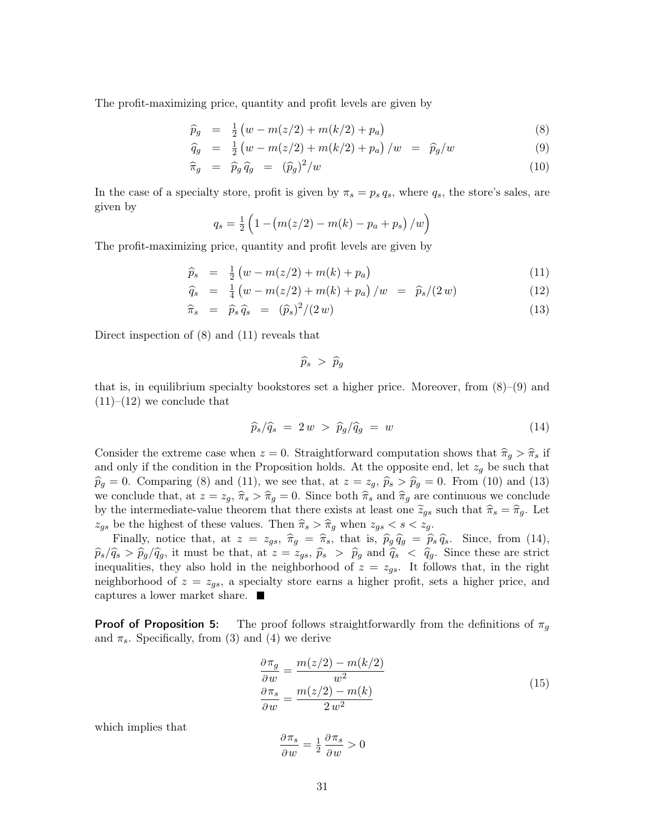The profit-maximizing price, quantity and profit levels are given by

<span id="page-31-0"></span>
$$
\widehat{p}_g = \frac{1}{2} \left( w - m(z/2) + m(k/2) + p_a \right) \tag{8}
$$

$$
\hat{q}_g = \frac{1}{2} \left( w - m(z/2) + m(k/2) + p_a \right) / w = \hat{p}_g / w \tag{9}
$$

$$
\widehat{\pi}_g = \widehat{p}_g \,\widehat{q}_g = (\widehat{p}_g)^2 / w \tag{10}
$$

In the case of a specialty store, profit is given by  $\pi_s = p_s q_s$ , where  $q_s$ , the store's sales, are given by

$$
q_s = \frac{1}{2} \left( 1 - \left( m(z/2) - m(k) - p_a + p_s \right) / w \right)
$$

The profit-maximizing price, quantity and profit levels are given by

<span id="page-31-1"></span>
$$
\widehat{p}_s = \frac{1}{2} \left( w - m(z/2) + m(k) + p_a \right) \tag{11}
$$

$$
\hat{q}_s = \frac{1}{4} \left( w - m(z/2) + m(k) + p_a \right) / w = \hat{p}_s / (2 w) \tag{12}
$$

$$
\widehat{\pi}_s = \widehat{p}_s \widehat{q}_s = (\widehat{p}_s)^2 / (2 w) \tag{13}
$$

Direct inspection of [\(8\)](#page-31-0) and [\(11\)](#page-31-1) reveals that

 $\widehat{p}_s > \widehat{p}_q$ 

that is, in equilibrium specialty bookstores set a higher price. Moreover, from  $(8)-(9)$  $(8)-(9)$  $(8)-(9)$  and  $(11)–(12)$  $(11)–(12)$  $(11)–(12)$  we conclude that

<span id="page-31-2"></span>
$$
\widehat{p}_s/\widehat{q}_s = 2w > \widehat{p}_g/\widehat{q}_g = w \tag{14}
$$

Consider the extreme case when  $z = 0$ . Straightforward computation shows that  $\hat{\pi}_g > \hat{\pi}_s$  if and only if the condition in the Proposition holds. At the opposite end, let  $z_g$  be such that  $\widehat{p}_g = 0$ . Comparing [\(8\)](#page-31-0) and [\(11\)](#page-31-1), we see that, at  $z = z_g$ ,  $\widehat{p}_s > \widehat{p}_g = 0$ . From [\(10\)](#page-31-0) and [\(13\)](#page-31-1) we conclude that, at  $z = z_g$ ,  $\hat{\pi}_s > \hat{\pi}_g = 0$ . Since both  $\hat{\pi}_s$  and  $\hat{\pi}_g$  are continuous we conclude by the intermediate-value theorem that there exists at least one  $\tilde{z}_{gs}$  such that  $\hat{\pi}_s = \hat{\pi}_g$ . Let  $z_{gs}$  be the highest of these values. Then  $\hat{\pi}_s > \hat{\pi}_g$  when  $z_{gs} < s < z_g$ .

Finally, notice that, at  $z = z_{gs}$ ,  $\hat{\pi}_g = \hat{\pi}_s$ , that is,  $\hat{p}_g \hat{q}_g = \hat{p}_s \hat{q}_s$ . Since, from [\(14\)](#page-31-2),  $\hat{p}_s/\hat{q}_s > \hat{p}_g/\hat{q}_g$ , it must be that, at  $z = z_{gs}$ ,  $\hat{p}_s > \hat{p}_g$  and  $\hat{q}_s < \hat{q}_g$ . Since these are strict inequalities, they also hold in the neighborhood of  $z = z_{gs}$ . It follows that, in the right neighborhood of  $z = z_{gs}$ , a specialty store earns a higher profit, sets a higher price, and captures a lower market share.

**Proof of Proposition [5:](#page-13-0)** The proof follows straightforwardly from the definitions of  $\pi_q$ and  $\pi_s$ . Specifically, from [\(3\)](#page-27-0) and [\(4\)](#page-27-1) we derive

$$
\frac{\partial \pi_g}{\partial w} = \frac{m(z/2) - m(k/2)}{w^2}
$$
  
\n
$$
\frac{\partial \pi_s}{\partial w} = \frac{m(z/2) - m(k)}{2w^2}
$$
\n(15)

<span id="page-31-3"></span>which implies that

$$
\frac{\partial \pi_s}{\partial w} = \tfrac{1}{2} \, \frac{\partial \pi_s}{\partial w} > 0
$$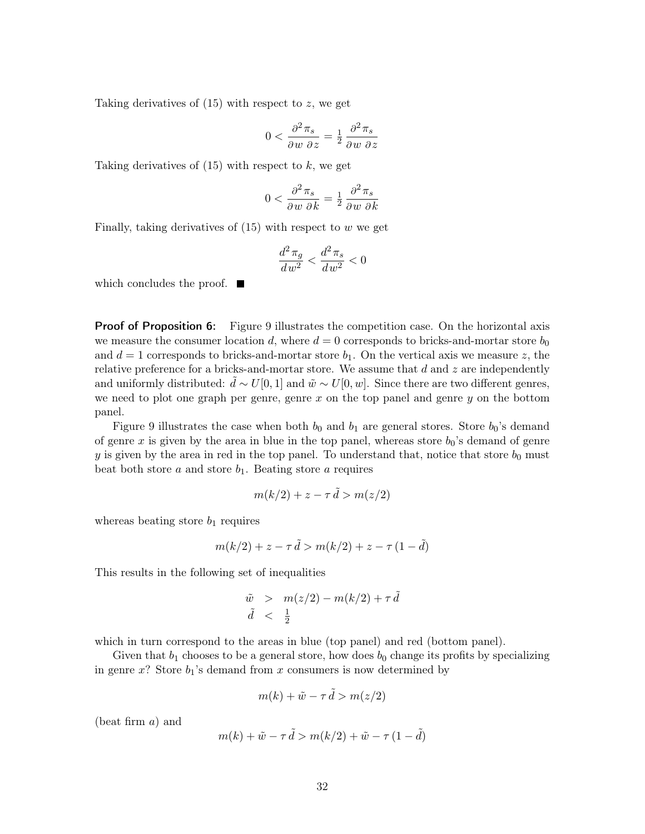Taking derivatives of  $(15)$  with respect to z, we get

$$
0 < \frac{\partial^2 \pi_s}{\partial w \ \partial z} = \frac{1}{2} \frac{\partial^2 \pi_s}{\partial w \ \partial z}
$$

Taking derivatives of  $(15)$  with respect to k, we get

$$
0 < \frac{\partial^2 \pi_s}{\partial w \ \partial k} = \frac{1}{2} \frac{\partial^2 \pi_s}{\partial w \ \partial k}
$$

Finally, taking derivatives of  $(15)$  with respect to w we get

$$
\frac{d^2\,\pi_g}{dw^2}<\frac{d^2\,\pi_s}{dw^2}<0
$$

which concludes the proof.  $\blacksquare$ 

**Proof of Proposition [6:](#page-14-0)** Figure [9](#page-33-0) illustrates the competition case. On the horizontal axis we measure the consumer location d, where  $d = 0$  corresponds to bricks-and-mortar store  $b_0$ and  $d = 1$  corresponds to bricks-and-mortar store  $b_1$ . On the vertical axis we measure z, the relative preference for a bricks-and-mortar store. We assume that  $d$  and  $z$  are independently and uniformly distributed:  $\tilde{d} \sim U[0, 1]$  and  $\tilde{w} \sim U[0, w]$ . Since there are two different genres, we need to plot one graph per genre, genre  $x$  on the top panel and genre  $y$  on the bottom panel.

Figure [9](#page-33-0) illustrates the case when both  $b_0$  and  $b_1$  are general stores. Store  $b_0$ 's demand of genre x is given by the area in blue in the top panel, whereas store  $b_0$ 's demand of genre y is given by the area in red in the top panel. To understand that, notice that store  $b_0$  must beat both store  $a$  and store  $b_1$ . Beating store  $a$  requires

$$
m(k/2) + z - \tau \, d > m(z/2)
$$

whereas beating store  $b_1$  requires

$$
m(k/2) + z - \tau \tilde{d} > m(k/2) + z - \tau (1 - \tilde{d})
$$

This results in the following set of inequalities

$$
\begin{array}{rcl}\n\tilde{w} > & m(z/2) - m(k/2) + \tau \, \tilde{d} \\
\tilde{d} < & \frac{1}{2}\n\end{array}
$$

which in turn correspond to the areas in blue (top panel) and red (bottom panel).

Given that  $b_1$  chooses to be a general store, how does  $b_0$  change its profits by specializing in genre  $x$ ? Store  $b_1$ 's demand from  $x$  consumers is now determined by

$$
m(k) + \tilde{w} - \tau \tilde{d} > m(z/2)
$$

(beat firm a) and

$$
m(k) + \tilde{w} - \tau \tilde{d} > m(k/2) + \tilde{w} - \tau (1 - \tilde{d})
$$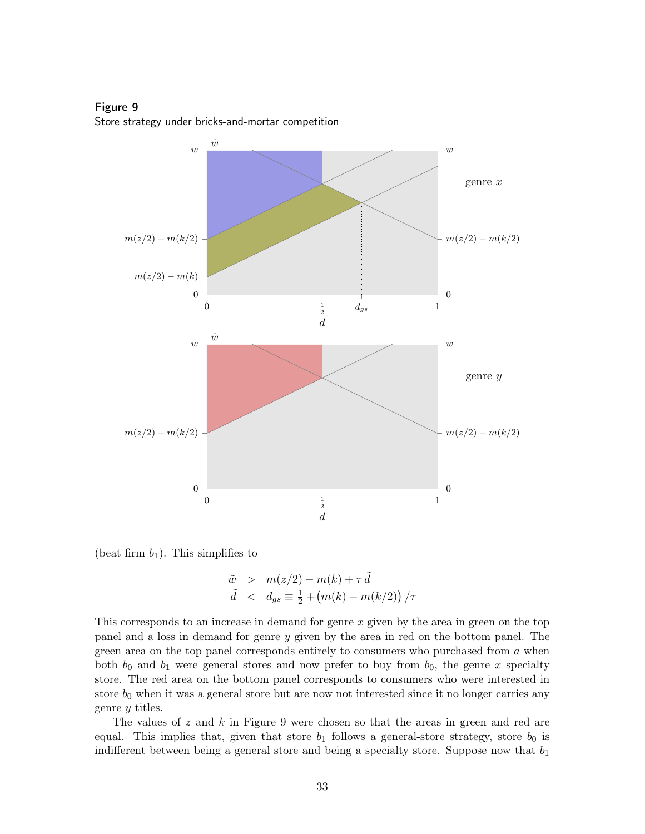Figure 9

<span id="page-33-0"></span>



(beat firm  $b_1$ ). This simplifies to

$$
\begin{array}{rcl}\n\tilde{w} > & m(z/2) - m(k) + \tau \, \tilde{d} \\
\tilde{d} < & d_{gs} \equiv \frac{1}{2} + \big(m(k) - m(k/2)\big) \, / \tau\n\end{array}
$$

This corresponds to an increase in demand for genre x given by the area in green on the top panel and a loss in demand for genre y given by the area in red on the bottom panel. The green area on the top panel corresponds entirely to consumers who purchased from a when both  $b_0$  and  $b_1$  were general stores and now prefer to buy from  $b_0$ , the genre x specialty store. The red area on the bottom panel corresponds to consumers who were interested in store  $b_0$  when it was a general store but are now not interested since it no longer carries any genre y titles.

The values of  $z$  and  $k$  in Figure [9](#page-33-0) were chosen so that the areas in green and red are equal. This implies that, given that store  $b_1$  follows a general-store strategy, store  $b_0$  is indifferent between being a general store and being a specialty store. Suppose now that  $b_1$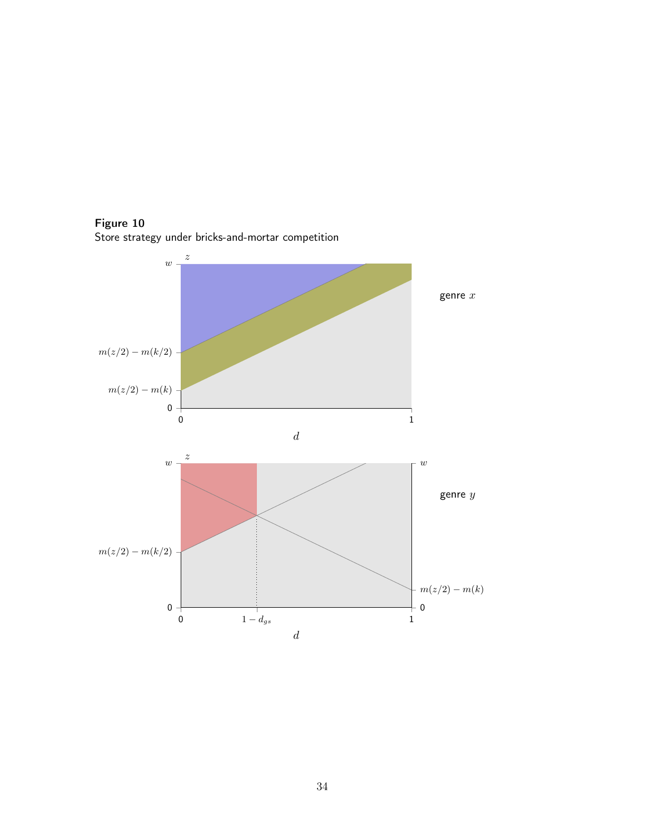

<span id="page-34-0"></span>Figure 10 Store strategy under bricks-and-mortar competition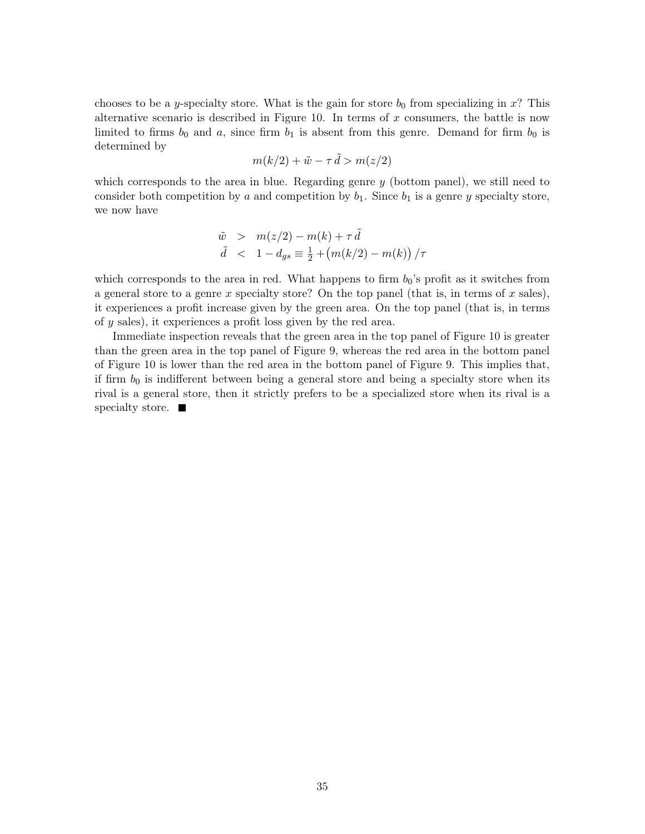chooses to be a y-specialty store. What is the gain for store  $b_0$  from specializing in x? This alternative scenario is described in Figure [10.](#page-34-0) In terms of  $x$  consumers, the battle is now limited to firms  $b_0$  and a, since firm  $b_1$  is absent from this genre. Demand for firm  $b_0$  is determined by

$$
m(k/2) + \tilde{w} - \tau \tilde{d} > m(z/2)
$$

which corresponds to the area in blue. Regarding genre  $y$  (bottom panel), we still need to consider both competition by a and competition by  $b_1$ . Since  $b_1$  is a genre y specialty store, we now have

$$
\tilde{w} > m(z/2) - m(k) + \tau \tilde{d}
$$
  

$$
\tilde{d} < 1 - d_{gs} \equiv \frac{1}{2} + (m(k/2) - m(k)) / \tau
$$

which corresponds to the area in red. What happens to firm  $b_0$ 's profit as it switches from a general store to a genre x specialty store? On the top panel (that is, in terms of x sales), it experiences a profit increase given by the green area. On the top panel (that is, in terms of y sales), it experiences a profit loss given by the red area.

Immediate inspection reveals that the green area in the top panel of Figure [10](#page-34-0) is greater than the green area in the top panel of Figure [9,](#page-33-0) whereas the red area in the bottom panel of Figure [10](#page-34-0) is lower than the red area in the bottom panel of Figure [9.](#page-33-0) This implies that, if firm  $b_0$  is indifferent between being a general store and being a specialty store when its rival is a general store, then it strictly prefers to be a specialized store when its rival is a specialty store.  $\blacksquare$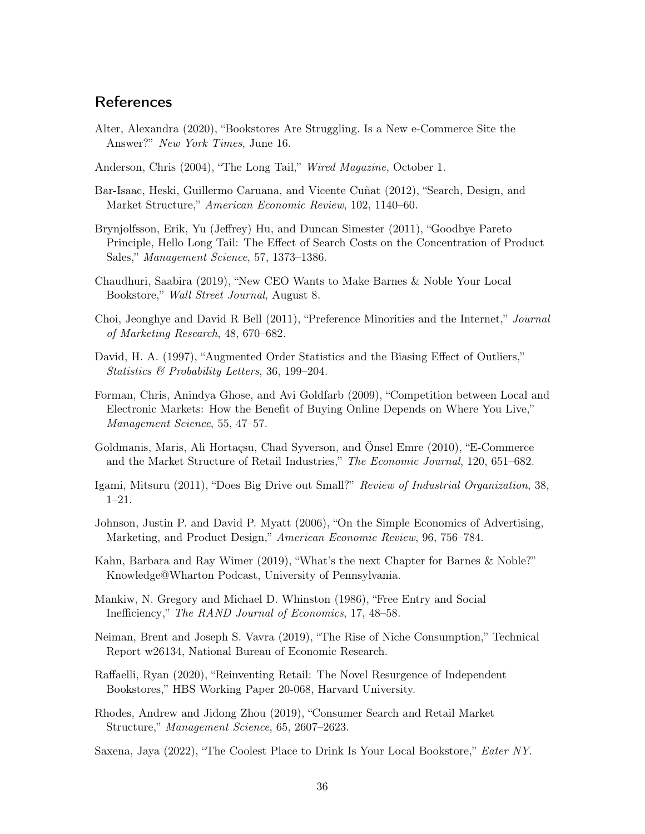### **References**

- <span id="page-36-15"></span>Alter, Alexandra (2020), "Bookstores Are Struggling. Is a New e-Commerce Site the Answer?" New York Times, June 16.
- <span id="page-36-3"></span>Anderson, Chris (2004), "The Long Tail," Wired Magazine, October 1.
- <span id="page-36-4"></span>Bar-Isaac, Heski, Guillermo Caruana, and Vicente Cuñat (2012), "Search, Design, and Market Structure," American Economic Review, 102, 1140–60.
- <span id="page-36-2"></span>Brynjolfsson, Erik, Yu (Jeffrey) Hu, and Duncan Simester (2011), "Goodbye Pareto Principle, Hello Long Tail: The Effect of Search Costs on the Concentration of Product Sales," Management Science, 57, 1373–1386.
- <span id="page-36-14"></span>Chaudhuri, Saabira (2019), "New CEO Wants to Make Barnes & Noble Your Local Bookstore," Wall Street Journal, August 8.
- <span id="page-36-8"></span>Choi, Jeonghye and David R Bell (2011), "Preference Minorities and the Internet," Journal of Marketing Research, 48, 670–682.
- <span id="page-36-16"></span>David, H. A. (1997), "Augmented Order Statistics and the Biasing Effect of Outliers," Statistics & Probability Letters, 36, 199–204.
- <span id="page-36-9"></span>Forman, Chris, Anindya Ghose, and Avi Goldfarb (2009), "Competition between Local and Electronic Markets: How the Benefit of Buying Online Depends on Where You Live," Management Science, 55, 47–57.
- <span id="page-36-7"></span>Goldmanis, Maris, Ali Hortaçsu, Chad Syverson, and Önsel Emre (2010), "E-Commerce and the Market Structure of Retail Industries," The Economic Journal, 120, 651–682.
- <span id="page-36-1"></span>Igami, Mitsuru (2011), "Does Big Drive out Small?" Review of Industrial Organization, 38, 1–21.
- <span id="page-36-5"></span>Johnson, Justin P. and David P. Myatt (2006), "On the Simple Economics of Advertising, Marketing, and Product Design," American Economic Review, 96, 756–784.
- <span id="page-36-0"></span>Kahn, Barbara and Ray Wimer (2019), "What's the next Chapter for Barnes & Noble?" Knowledge@Wharton Podcast, University of Pennsylvania.
- <span id="page-36-13"></span>Mankiw, N. Gregory and Michael D. Whinston (1986), "Free Entry and Social Inefficiency," The RAND Journal of Economics, 17, 48–58.
- <span id="page-36-10"></span>Neiman, Brent and Joseph S. Vavra (2019), "The Rise of Niche Consumption," Technical Report w26134, National Bureau of Economic Research.
- <span id="page-36-11"></span>Raffaelli, Ryan (2020), "Reinventing Retail: The Novel Resurgence of Independent Bookstores," HBS Working Paper 20-068, Harvard University.
- <span id="page-36-6"></span>Rhodes, Andrew and Jidong Zhou (2019), "Consumer Search and Retail Market Structure," Management Science, 65, 2607–2623.

<span id="page-36-12"></span>Saxena, Jaya (2022), "The Coolest Place to Drink Is Your Local Bookstore," *Eater NY*.